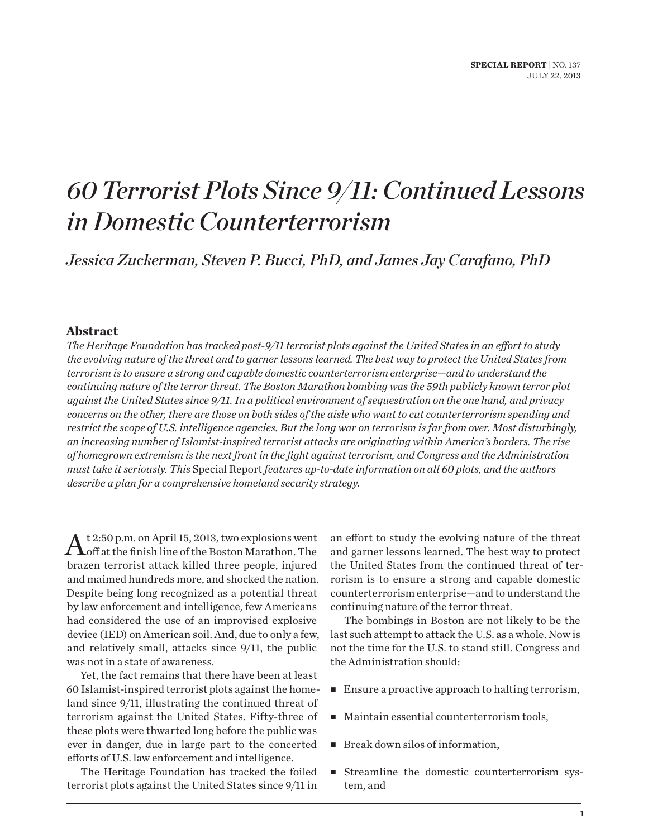# *60 Terrorist Plots Since 9/11: Continued Lessons in Domestic Counterterrorism*

*Jessica Zuckerman, Steven P. Bucci, PhD, and James Jay Carafano, PhD*

### **Abstract**

*The Heritage Foundation has tracked post-9/11 terrorist plots against the United States in an effort to study the evolving nature of the threat and to garner lessons learned. The best way to protect the United States from terrorism is to ensure a strong and capable domestic counterterrorism enterprise—and to understand the continuing nature of the terror threat. The Boston Marathon bombing was the 59th publicly known terror plot against the United States since 9/11. In a political environment of sequestration on the one hand, and privacy concerns on the other, there are those on both sides of the aisle who want to cut counterterrorism spending and restrict the scope of U.S. intelligence agencies. But the long war on terrorism is far from over. Most disturbingly, an increasing number of Islamist-inspired terrorist attacks are originating within America's borders. The rise of homegrown extremism is the next front in the fight against terrorism, and Congress and the Administration must take it seriously. This* Special Report *features up-to-date information on all 60 plots, and the authors describe a plan for a comprehensive homeland security strategy.*

At 2:50 p.m. on April 15, 2013, two explosions went<br>Aoff at the finish line of the Boston Marathon. The brazen terrorist attack killed three people, injured and maimed hundreds more, and shocked the nation. Despite being long recognized as a potential threat by law enforcement and intelligence, few Americans had considered the use of an improvised explosive device (IED) on American soil. And, due to only a few, and relatively small, attacks since 9/11, the public was not in a state of awareness.

Yet, the fact remains that there have been at least 60 Islamist-inspired terrorist plots against the homeland since 9/11, illustrating the continued threat of terrorism against the United States. Fifty-three of these plots were thwarted long before the public was ever in danger, due in large part to the concerted efforts of U.S. law enforcement and intelligence.

The Heritage Foundation has tracked the foiled terrorist plots against the United States since 9/11 in an effort to study the evolving nature of the threat and garner lessons learned. The best way to protect the United States from the continued threat of terrorism is to ensure a strong and capable domestic counterterrorism enterprise—and to understand the continuing nature of the terror threat.

The bombings in Boston are not likely to be the last such attempt to attack the U.S. as a whole. Now is not the time for the U.S. to stand still. Congress and the Administration should:

- Ensure a proactive approach to halting terrorism,
- Maintain essential counterterrorism tools,
- Break down silos of information,
- Streamline the domestic counterterrorism system, and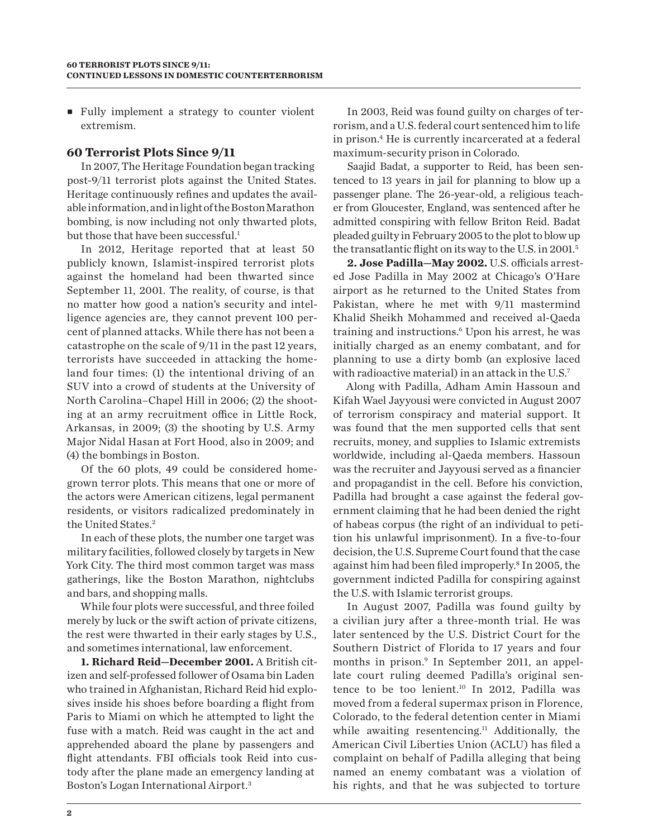■ Fully implement a strategy to counter violent extremism.

## **60 Terrorist Plots Since 9/11**

In 2007, The Heritage Foundation began tracking post-9/11 terrorist plots against the United States. Heritage continuously refines and updates the available information, and in light of the Boston Marathon bombing, is now including not only thwarted plots, but those that have been successful.<sup>1</sup>

In 2012, Heritage reported that at least 50 publicly known, Islamist-inspired terrorist plots against the homeland had been thwarted since September 11, 2001. The reality, of course, is that no matter how good a nation's security and intelligence agencies are, they cannot prevent 100 percent of planned attacks. While there has not been a catastrophe on the scale of 9/11 in the past 12 years, terrorists have succeeded in attacking the homeland four times: (1) the intentional driving of an SUV into a crowd of students at the University of North Carolina–Chapel Hill in 2006; (2) the shooting at an army recruitment office in Little Rock, Arkansas, in 2009; (3) the shooting by U.S. Army Major Nidal Hasan at Fort Hood, also in 2009; and (4) the bombings in Boston.

Of the 60 plots, 49 could be considered homegrown terror plots. This means that one or more of the actors were American citizens, legal permanent residents, or visitors radicalized predominately in the United States.<sup>2</sup>

In each of these plots, the number one target was military facilities, followed closely by targets in New York City. The third most common target was mass gatherings, like the Boston Marathon, nightclubs and bars, and shopping malls.

While four plots were successful, and three foiled merely by luck or the swift action of private citizens, the rest were thwarted in their early stages by U.S., and sometimes international, law enforcement.

**1. Richard Reid—December 2001.** A British citizen and self-professed follower of Osama bin Laden who trained in Afghanistan, Richard Reid hid explosives inside his shoes before boarding a flight from Paris to Miami on which he attempted to light the fuse with a match. Reid was caught in the act and apprehended aboard the plane by passengers and flight attendants. FBI officials took Reid into custody after the plane made an emergency landing at Boston's Logan International Airport.3

In 2003, Reid was found guilty on charges of terrorism, and a U.S. federal court sentenced him to life in prison.4 He is currently incarcerated at a federal maximum-security prison in Colorado.

Saajid Badat, a supporter to Reid, has been sentenced to 13 years in jail for planning to blow up a passenger plane. The 26-year-old, a religious teacher from Gloucester, England, was sentenced after he admitted conspiring with fellow Briton Reid. Badat pleaded guilty in February 2005 to the plot to blow up the transatlantic flight on its way to the U.S. in 2001.5

**2. Jose Padilla—May 2002.** U.S. officials arrested Jose Padilla in May 2002 at Chicago's O'Hare airport as he returned to the United States from Pakistan, where he met with 9/11 mastermind Khalid Sheikh Mohammed and received al-Qaeda training and instructions.6 Upon his arrest, he was initially charged as an enemy combatant, and for planning to use a dirty bomb (an explosive laced with radioactive material) in an attack in the U.S.<sup>7</sup>

Along with Padilla, Adham Amin Hassoun and Kifah Wael Jayyousi were convicted in August 2007 of terrorism conspiracy and material support. It was found that the men supported cells that sent recruits, money, and supplies to Islamic extremists worldwide, including al-Qaeda members. Hassoun was the recruiter and Jayyousi served as a financier and propagandist in the cell. Before his conviction, Padilla had brought a case against the federal government claiming that he had been denied the right of habeas corpus (the right of an individual to petition his unlawful imprisonment). In a five-to-four decision, the U.S. Supreme Court found that the case against him had been filed improperly.8 In 2005, the government indicted Padilla for conspiring against the U.S. with Islamic terrorist groups.

In August 2007, Padilla was found guilty by a civilian jury after a three-month trial. He was later sentenced by the U.S. District Court for the Southern District of Florida to 17 years and four months in prison.9 In September 2011, an appellate court ruling deemed Padilla's original sentence to be too lenient.10 In 2012, Padilla was moved from a federal supermax prison in Florence, Colorado, to the federal detention center in Miami while awaiting resentencing.<sup>11</sup> Additionally, the American Civil Liberties Union (ACLU) has filed a complaint on behalf of Padilla alleging that being named an enemy combatant was a violation of his rights, and that he was subjected to torture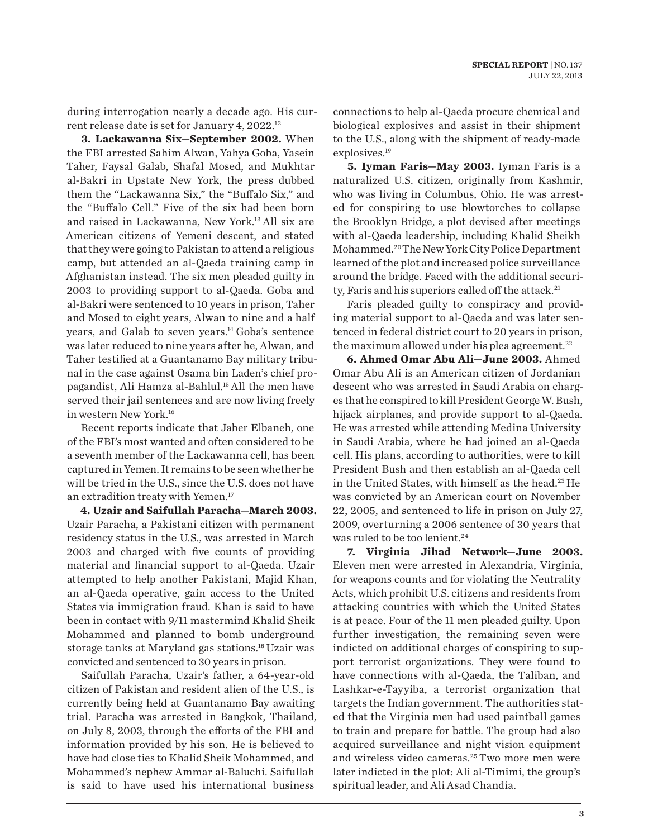during interrogation nearly a decade ago. His current release date is set for January 4, 2022.12

**3. Lackawanna Six—September 2002.** When the FBI arrested Sahim Alwan, Yahya Goba, Yasein Taher, Faysal Galab, Shafal Mosed, and Mukhtar al-Bakri in Upstate New York, the press dubbed them the "Lackawanna Six," the "Buffalo Six," and the "Buffalo Cell." Five of the six had been born and raised in Lackawanna, New York.13 All six are American citizens of Yemeni descent, and stated that they were going to Pakistan to attend a religious camp, but attended an al-Qaeda training camp in Afghanistan instead. The six men pleaded guilty in 2003 to providing support to al-Qaeda. Goba and al-Bakri were sentenced to 10 years in prison, Taher and Mosed to eight years, Alwan to nine and a half years, and Galab to seven years.<sup>14</sup> Goba's sentence was later reduced to nine years after he, Alwan, and Taher testified at a Guantanamo Bay military tribunal in the case against Osama bin Laden's chief propagandist, Ali Hamza al-Bahlul.15 All the men have served their jail sentences and are now living freely in western New York.16

Recent reports indicate that Jaber Elbaneh, one of the FBI's most wanted and often considered to be a seventh member of the Lackawanna cell, has been captured in Yemen. It remains to be seen whether he will be tried in the U.S., since the U.S. does not have an extradition treaty with Yemen.17

**4. Uzair and Saifullah Paracha—March 2003.** Uzair Paracha, a Pakistani citizen with permanent residency status in the U.S., was arrested in March 2003 and charged with five counts of providing material and financial support to al-Qaeda. Uzair attempted to help another Pakistani, Majid Khan, an al-Qaeda operative, gain access to the United States via immigration fraud. Khan is said to have been in contact with 9/11 mastermind Khalid Sheik Mohammed and planned to bomb underground storage tanks at Maryland gas stations.18 Uzair was convicted and sentenced to 30 years in prison.

Saifullah Paracha, Uzair's father, a 64-year-old citizen of Pakistan and resident alien of the U.S., is currently being held at Guantanamo Bay awaiting trial. Paracha was arrested in Bangkok, Thailand, on July 8, 2003, through the efforts of the FBI and information provided by his son. He is believed to have had close ties to Khalid Sheik Mohammed, and Mohammed's nephew Ammar al-Baluchi. Saifullah is said to have used his international business

connections to help al-Qaeda procure chemical and biological explosives and assist in their shipment to the U.S., along with the shipment of ready-made explosives.<sup>19</sup>

**5. Iyman Faris—May 2003.** Iyman Faris is a naturalized U.S. citizen, originally from Kashmir, who was living in Columbus, Ohio. He was arrested for conspiring to use blowtorches to collapse the Brooklyn Bridge, a plot devised after meetings with al-Qaeda leadership, including Khalid Sheikh Mohammed.20 The New York City Police Department learned of the plot and increased police surveillance around the bridge. Faced with the additional security, Faris and his superiors called off the attack.<sup>21</sup>

Faris pleaded guilty to conspiracy and providing material support to al-Qaeda and was later sentenced in federal district court to 20 years in prison, the maximum allowed under his plea agreement.<sup>22</sup>

**6. Ahmed Omar Abu Ali—June 2003.** Ahmed Omar Abu Ali is an American citizen of Jordanian descent who was arrested in Saudi Arabia on charges that he conspired to kill President George W. Bush, hijack airplanes, and provide support to al-Qaeda. He was arrested while attending Medina University in Saudi Arabia, where he had joined an al-Qaeda cell. His plans, according to authorities, were to kill President Bush and then establish an al-Qaeda cell in the United States, with himself as the head.<sup>23</sup> He was convicted by an American court on November 22, 2005, and sentenced to life in prison on July 27, 2009, overturning a 2006 sentence of 30 years that was ruled to be too lenient.<sup>24</sup>

**7. Virginia Jihad Network—June 2003.** Eleven men were arrested in Alexandria, Virginia, for weapons counts and for violating the Neutrality Acts, which prohibit U.S. citizens and residents from attacking countries with which the United States is at peace. Four of the 11 men pleaded guilty. Upon further investigation, the remaining seven were indicted on additional charges of conspiring to support terrorist organizations. They were found to have connections with al-Qaeda, the Taliban, and Lashkar-e-Tayyiba, a terrorist organization that targets the Indian government. The authorities stated that the Virginia men had used paintball games to train and prepare for battle. The group had also acquired surveillance and night vision equipment and wireless video cameras.25 Two more men were later indicted in the plot: Ali al-Timimi, the group's spiritual leader, and Ali Asad Chandia.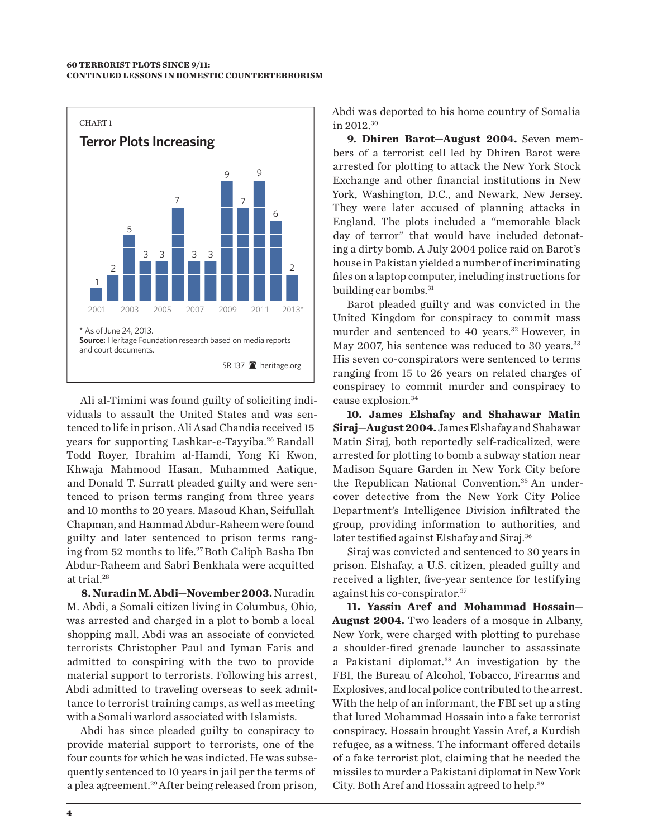

Ali al-Timimi was found guilty of soliciting individuals to assault the United States and was sentenced to life in prison. Ali Asad Chandia received 15 years for supporting Lashkar-e-Tayyiba.<sup>26</sup> Randall Todd Royer, Ibrahim al-Hamdi, Yong Ki Kwon, Khwaja Mahmood Hasan, Muhammed Aatique, and Donald T. Surratt pleaded guilty and were sentenced to prison terms ranging from three years and 10 months to 20 years. Masoud Khan, Seifullah Chapman, and Hammad Abdur-Raheem were found guilty and later sentenced to prison terms ranging from 52 months to life.<sup>27</sup> Both Caliph Basha Ibn Abdur-Raheem and Sabri Benkhala were acquitted at trial.28

**8. Nuradin M. Abdi—November 2003.** Nuradin M. Abdi, a Somali citizen living in Columbus, Ohio, was arrested and charged in a plot to bomb a local shopping mall. Abdi was an associate of convicted terrorists Christopher Paul and Iyman Faris and admitted to conspiring with the two to provide material support to terrorists. Following his arrest, Abdi admitted to traveling overseas to seek admittance to terrorist training camps, as well as meeting with a Somali warlord associated with Islamists.

Abdi has since pleaded guilty to conspiracy to provide material support to terrorists, one of the four counts for which he was indicted. He was subsequently sentenced to 10 years in jail per the terms of a plea agreement.<sup>29</sup> After being released from prison, Abdi was deported to his home country of Somalia in 2012.30

**9. Dhiren Barot—August 2004.** Seven members of a terrorist cell led by Dhiren Barot were arrested for plotting to attack the New York Stock Exchange and other financial institutions in New York, Washington, D.C., and Newark, New Jersey. They were later accused of planning attacks in England. The plots included a "memorable black day of terror" that would have included detonating a dirty bomb. A July 2004 police raid on Barot's house in Pakistan yielded a number of incriminating files on a laptop computer, including instructions for building car bombs.<sup>31</sup>

Barot pleaded guilty and was convicted in the United Kingdom for conspiracy to commit mass murder and sentenced to 40 years.<sup>32</sup> However, in May 2007, his sentence was reduced to 30 years.<sup>33</sup> His seven co-conspirators were sentenced to terms ranging from 15 to 26 years on related charges of conspiracy to commit murder and conspiracy to cause explosion.<sup>34</sup>

**10. James Elshafay and Shahawar Matin Siraj—August 2004.** James Elshafay and Shahawar Matin Siraj, both reportedly self-radicalized, were arrested for plotting to bomb a subway station near Madison Square Garden in New York City before the Republican National Convention.35 An undercover detective from the New York City Police Department's Intelligence Division infiltrated the group, providing information to authorities, and later testified against Elshafay and Siraj.<sup>36</sup>

Siraj was convicted and sentenced to 30 years in prison. Elshafay, a U.S. citizen, pleaded guilty and received a lighter, five-year sentence for testifying against his co-conspirator.37

**11. Yassin Aref and Mohammad Hossain— August 2004.** Two leaders of a mosque in Albany, New York, were charged with plotting to purchase a shoulder-fired grenade launcher to assassinate a Pakistani diplomat.<sup>38</sup> An investigation by the FBI, the Bureau of Alcohol, Tobacco, Firearms and Explosives, and local police contributed to the arrest. With the help of an informant, the FBI set up a sting that lured Mohammad Hossain into a fake terrorist conspiracy. Hossain brought Yassin Aref, a Kurdish refugee, as a witness. The informant offered details of a fake terrorist plot, claiming that he needed the missiles to murder a Pakistani diplomat in New York City. Both Aref and Hossain agreed to help.39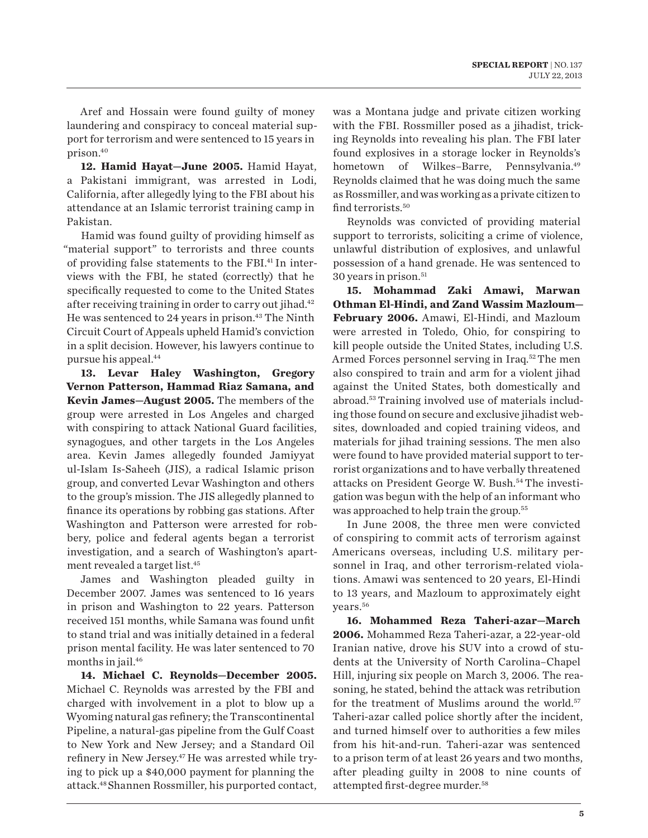Aref and Hossain were found guilty of money laundering and conspiracy to conceal material support for terrorism and were sentenced to 15 years in prison.40

**12. Hamid Hayat—June 2005.** Hamid Hayat, a Pakistani immigrant, was arrested in Lodi, California, after allegedly lying to the FBI about his attendance at an Islamic terrorist training camp in Pakistan.

Hamid was found guilty of providing himself as "material support" to terrorists and three counts of providing false statements to the FBI.41 In interviews with the FBI, he stated (correctly) that he specifically requested to come to the United States after receiving training in order to carry out jihad.<sup>42</sup> He was sentenced to 24 years in prison.<sup>43</sup> The Ninth Circuit Court of Appeals upheld Hamid's conviction in a split decision. However, his lawyers continue to pursue his appeal.44

**13. Levar Haley Washington, Gregory Vernon Patterson, Hammad Riaz Samana, and Kevin James—August 2005.** The members of the group were arrested in Los Angeles and charged with conspiring to attack National Guard facilities, synagogues, and other targets in the Los Angeles area. Kevin James allegedly founded Jamiyyat ul-Islam Is-Saheeh (JIS), a radical Islamic prison group, and converted Levar Washington and others to the group's mission. The JIS allegedly planned to finance its operations by robbing gas stations. After Washington and Patterson were arrested for robbery, police and federal agents began a terrorist investigation, and a search of Washington's apartment revealed a target list.45

James and Washington pleaded guilty in December 2007. James was sentenced to 16 years in prison and Washington to 22 years. Patterson received 151 months, while Samana was found unfit to stand trial and was initially detained in a federal prison mental facility. He was later sentenced to 70 months in jail.<sup>46</sup>

**14. Michael C. Reynolds—December 2005.** Michael C. Reynolds was arrested by the FBI and charged with involvement in a plot to blow up a Wyoming natural gas refinery; the Transcontinental Pipeline, a natural-gas pipeline from the Gulf Coast to New York and New Jersey; and a Standard Oil refinery in New Jersey.<sup>47</sup> He was arrested while trying to pick up a \$40,000 payment for planning the attack.48 Shannen Rossmiller, his purported contact, was a Montana judge and private citizen working with the FBI. Rossmiller posed as a jihadist, tricking Reynolds into revealing his plan. The FBI later found explosives in a storage locker in Reynolds's hometown of Wilkes–Barre, Pennsylvania.<sup>49</sup> Reynolds claimed that he was doing much the same as Rossmiller, and was working as a private citizen to find terrorists.<sup>50</sup>

Reynolds was convicted of providing material support to terrorists, soliciting a crime of violence, unlawful distribution of explosives, and unlawful possession of a hand grenade. He was sentenced to 30 years in prison.51

**15. Mohammad Zaki Amawi, Marwan Othman El-Hindi, and Zand Wassim Mazloum— February 2006.** Amawi, El-Hindi, and Mazloum were arrested in Toledo, Ohio, for conspiring to kill people outside the United States, including U.S. Armed Forces personnel serving in Iraq.<sup>52</sup> The men also conspired to train and arm for a violent jihad against the United States, both domestically and abroad.53 Training involved use of materials including those found on secure and exclusive jihadist websites, downloaded and copied training videos, and materials for jihad training sessions. The men also were found to have provided material support to terrorist organizations and to have verbally threatened attacks on President George W. Bush.54 The investigation was begun with the help of an informant who was approached to help train the group.<sup>55</sup>

In June 2008, the three men were convicted of conspiring to commit acts of terrorism against Americans overseas, including U.S. military personnel in Iraq, and other terrorism-related violations. Amawi was sentenced to 20 years, El-Hindi to 13 years, and Mazloum to approximately eight years.56

**16. Mohammed Reza Taheri-azar—March 2006.** Mohammed Reza Taheri-azar, a 22-year-old Iranian native, drove his SUV into a crowd of students at the University of North Carolina–Chapel Hill, injuring six people on March 3, 2006. The reasoning, he stated, behind the attack was retribution for the treatment of Muslims around the world.<sup>57</sup> Taheri-azar called police shortly after the incident, and turned himself over to authorities a few miles from his hit-and-run. Taheri-azar was sentenced to a prison term of at least 26 years and two months, after pleading guilty in 2008 to nine counts of attempted first-degree murder.58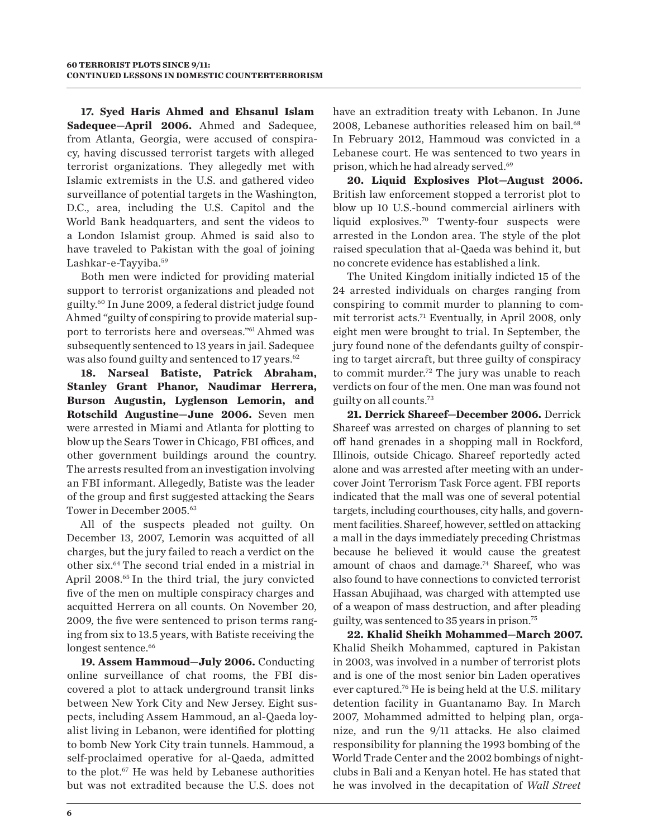**17. Syed Haris Ahmed and Ehsanul Islam Sadequee—April 2006.** Ahmed and Sadequee, from Atlanta, Georgia, were accused of conspiracy, having discussed terrorist targets with alleged terrorist organizations. They allegedly met with Islamic extremists in the U.S. and gathered video surveillance of potential targets in the Washington, D.C., area, including the U.S. Capitol and the World Bank headquarters, and sent the videos to a London Islamist group. Ahmed is said also to have traveled to Pakistan with the goal of joining Lashkar-e-Tayyiba.59

Both men were indicted for providing material support to terrorist organizations and pleaded not guilty.60 In June 2009, a federal district judge found Ahmed "guilty of conspiring to provide material support to terrorists here and overseas."61 Ahmed was subsequently sentenced to 13 years in jail. Sadequee was also found guilty and sentenced to 17 years.<sup>62</sup>

**18. Narseal Batiste, Patrick Abraham, Stanley Grant Phanor, Naudimar Herrera, Burson Augustin, Lyglenson Lemorin, and Rotschild Augustine—June 2006.** Seven men were arrested in Miami and Atlanta for plotting to blow up the Sears Tower in Chicago, FBI offices, and other government buildings around the country. The arrests resulted from an investigation involving an FBI informant. Allegedly, Batiste was the leader of the group and first suggested attacking the Sears Tower in December 2005.63

All of the suspects pleaded not guilty. On December 13, 2007, Lemorin was acquitted of all charges, but the jury failed to reach a verdict on the other six.64 The second trial ended in a mistrial in April 2008.<sup>65</sup> In the third trial, the jury convicted five of the men on multiple conspiracy charges and acquitted Herrera on all counts. On November 20, 2009, the five were sentenced to prison terms ranging from six to 13.5 years, with Batiste receiving the longest sentence.<sup>66</sup>

19. Assem Hammoud-July 2006. Conducting online surveillance of chat rooms, the FBI discovered a plot to attack underground transit links between New York City and New Jersey. Eight suspects, including Assem Hammoud, an al-Qaeda loyalist living in Lebanon, were identified for plotting to bomb New York City train tunnels. Hammoud, a self-proclaimed operative for al-Qaeda, admitted to the plot.<sup>67</sup> He was held by Lebanese authorities but was not extradited because the U.S. does not

have an extradition treaty with Lebanon. In June 2008, Lebanese authorities released him on bail.<sup>68</sup> In February 2012, Hammoud was convicted in a Lebanese court. He was sentenced to two years in prison, which he had already served.69

**20. Liquid Explosives Plot—August 2006.** British law enforcement stopped a terrorist plot to blow up 10 U.S.-bound commercial airliners with liquid explosives.70 Twenty-four suspects were arrested in the London area. The style of the plot raised speculation that al-Qaeda was behind it, but no concrete evidence has established a link.

The United Kingdom initially indicted 15 of the 24 arrested individuals on charges ranging from conspiring to commit murder to planning to commit terrorist acts.71 Eventually, in April 2008, only eight men were brought to trial. In September, the jury found none of the defendants guilty of conspiring to target aircraft, but three guilty of conspiracy to commit murder.72 The jury was unable to reach verdicts on four of the men. One man was found not guilty on all counts.73

**21. Derrick Shareef—December 2006.** Derrick Shareef was arrested on charges of planning to set off hand grenades in a shopping mall in Rockford, Illinois, outside Chicago. Shareef reportedly acted alone and was arrested after meeting with an undercover Joint Terrorism Task Force agent. FBI reports indicated that the mall was one of several potential targets, including courthouses, city halls, and government facilities. Shareef, however, settled on attacking a mall in the days immediately preceding Christmas because he believed it would cause the greatest amount of chaos and damage.<sup>74</sup> Shareef, who was also found to have connections to convicted terrorist Hassan Abujihaad, was charged with attempted use of a weapon of mass destruction, and after pleading guilty, was sentenced to 35 years in prison.75

**22. Khalid Sheikh Mohammed—March 2007.** Khalid Sheikh Mohammed, captured in Pakistan in 2003, was involved in a number of terrorist plots and is one of the most senior bin Laden operatives ever captured.76 He is being held at the U.S. military detention facility in Guantanamo Bay. In March 2007, Mohammed admitted to helping plan, organize, and run the 9/11 attacks. He also claimed responsibility for planning the 1993 bombing of the World Trade Center and the 2002 bombings of nightclubs in Bali and a Kenyan hotel. He has stated that he was involved in the decapitation of *Wall Street*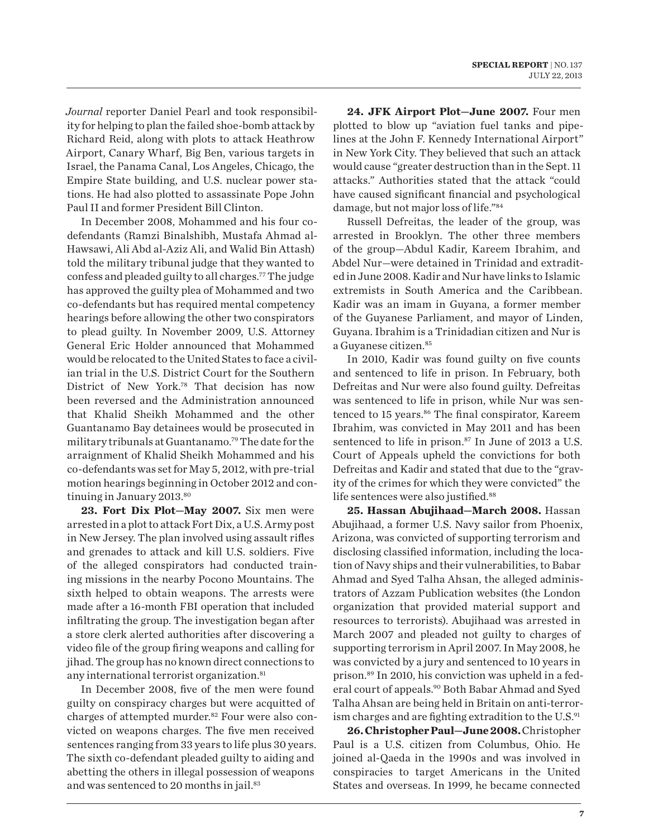*Journal* reporter Daniel Pearl and took responsibility for helping to plan the failed shoe-bomb attack by Richard Reid, along with plots to attack Heathrow Airport, Canary Wharf, Big Ben, various targets in Israel, the Panama Canal, Los Angeles, Chicago, the Empire State building, and U.S. nuclear power stations. He had also plotted to assassinate Pope John Paul II and former President Bill Clinton.

In December 2008, Mohammed and his four codefendants (Ramzi Binalshibh, Mustafa Ahmad al-Hawsawi, Ali Abd al-Aziz Ali, and Walid Bin Attash) told the military tribunal judge that they wanted to confess and pleaded guilty to all charges.77 The judge has approved the guilty plea of Mohammed and two co-defendants but has required mental competency hearings before allowing the other two conspirators to plead guilty. In November 2009, U.S. Attorney General Eric Holder announced that Mohammed would be relocated to the United States to face a civilian trial in the U.S. District Court for the Southern District of New York.78 That decision has now been reversed and the Administration announced that Khalid Sheikh Mohammed and the other Guantanamo Bay detainees would be prosecuted in military tribunals at Guantanamo.<sup>79</sup> The date for the arraignment of Khalid Sheikh Mohammed and his co-defendants was set for May 5, 2012, with pre-trial motion hearings beginning in October 2012 and continuing in January 2013.<sup>80</sup>

**23. Fort Dix Plot—May 2007.** Six men were arrested in a plot to attack Fort Dix, a U.S. Army post in New Jersey. The plan involved using assault rifles and grenades to attack and kill U.S. soldiers. Five of the alleged conspirators had conducted training missions in the nearby Pocono Mountains. The sixth helped to obtain weapons. The arrests were made after a 16-month FBI operation that included infiltrating the group. The investigation began after a store clerk alerted authorities after discovering a video file of the group firing weapons and calling for jihad. The group has no known direct connections to any international terrorist organization.<sup>81</sup>

In December 2008, five of the men were found guilty on conspiracy charges but were acquitted of charges of attempted murder.82 Four were also convicted on weapons charges. The five men received sentences ranging from 33 years to life plus 30 years. The sixth co-defendant pleaded guilty to aiding and abetting the others in illegal possession of weapons and was sentenced to 20 months in jail.<sup>83</sup>

**24. JFK Airport Plot—June 2007.** Four men plotted to blow up "aviation fuel tanks and pipelines at the John F. Kennedy International Airport" in New York City. They believed that such an attack would cause "greater destruction than in the Sept. 11 attacks." Authorities stated that the attack "could have caused significant financial and psychological damage, but not major loss of life."84

Russell Defreitas, the leader of the group, was arrested in Brooklyn. The other three members of the group—Abdul Kadir, Kareem Ibrahim, and Abdel Nur—were detained in Trinidad and extradited in June 2008. Kadir and Nur have links to Islamic extremists in South America and the Caribbean. Kadir was an imam in Guyana, a former member of the Guyanese Parliament, and mayor of Linden, Guyana. Ibrahim is a Trinidadian citizen and Nur is a Guyanese citizen.85

In 2010, Kadir was found guilty on five counts and sentenced to life in prison. In February, both Defreitas and Nur were also found guilty. Defreitas was sentenced to life in prison, while Nur was sentenced to 15 years.<sup>86</sup> The final conspirator, Kareem Ibrahim, was convicted in May 2011 and has been sentenced to life in prison.<sup>87</sup> In June of 2013 a U.S. Court of Appeals upheld the convictions for both Defreitas and Kadir and stated that due to the "gravity of the crimes for which they were convicted" the life sentences were also justified.<sup>88</sup>

**25. Hassan Abujihaad—March 2008.** Hassan Abujihaad, a former U.S. Navy sailor from Phoenix, Arizona, was convicted of supporting terrorism and disclosing classified information, including the location of Navy ships and their vulnerabilities, to Babar Ahmad and Syed Talha Ahsan, the alleged administrators of Azzam Publication websites (the London organization that provided material support and resources to terrorists). Abujihaad was arrested in March 2007 and pleaded not guilty to charges of supporting terrorism in April 2007. In May 2008, he was convicted by a jury and sentenced to 10 years in prison.89 In 2010, his conviction was upheld in a federal court of appeals.<sup>90</sup> Both Babar Ahmad and Syed Talha Ahsan are being held in Britain on anti-terrorism charges and are fighting extradition to the  $U.S.<sup>91</sup>$ 

**26. Christopher Paul—June 2008.** Christopher Paul is a U.S. citizen from Columbus, Ohio. He joined al-Qaeda in the 1990s and was involved in conspiracies to target Americans in the United States and overseas. In 1999, he became connected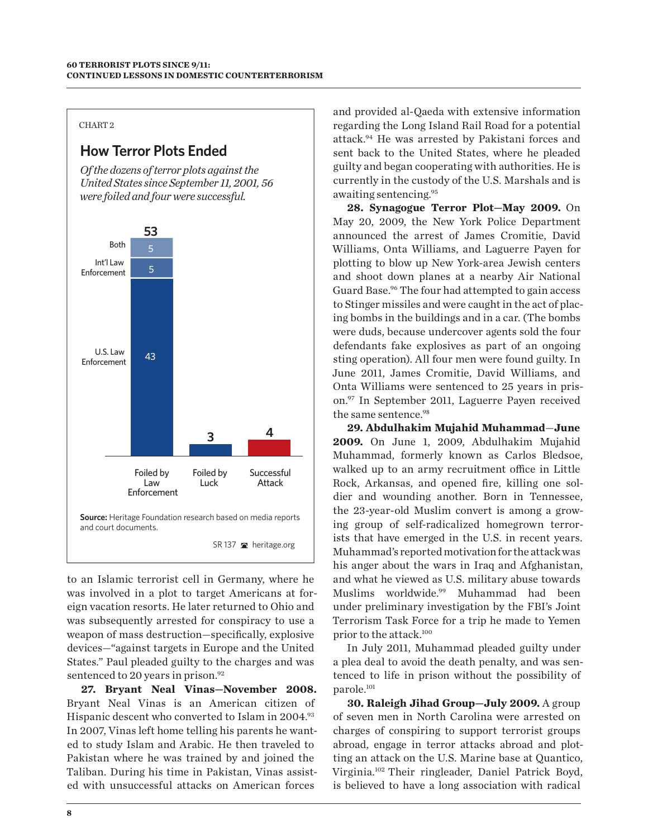#### CHART 2

## **How Terror Plots Ended**

*Of the dozens of terror plots against the United States since September 11, 2001, 56 were foiled and four were successful.* 



to an Islamic terrorist cell in Germany, where he was involved in a plot to target Americans at foreign vacation resorts. He later returned to Ohio and was subsequently arrested for conspiracy to use a weapon of mass destruction—specifically, explosive devices—"against targets in Europe and the United States." Paul pleaded guilty to the charges and was sentenced to 20 years in prison.<sup>92</sup>

**27. Bryant Neal Vinas—November 2008.**  Bryant Neal Vinas is an American citizen of Hispanic descent who converted to Islam in 2004.<sup>93</sup> In 2007, Vinas left home telling his parents he wanted to study Islam and Arabic. He then traveled to Pakistan where he was trained by and joined the Taliban. During his time in Pakistan, Vinas assisted with unsuccessful attacks on American forces

and provided al-Qaeda with extensive information regarding the Long Island Rail Road for a potential attack.94 He was arrested by Pakistani forces and sent back to the United States, where he pleaded guilty and began cooperating with authorities. He is currently in the custody of the U.S. Marshals and is awaiting sentencing.95

**28. Synagogue Terror Plot—May 2009.** On May 20, 2009, the New York Police Department announced the arrest of James Cromitie, David Williams, Onta Williams, and Laguerre Payen for plotting to blow up New York-area Jewish centers and shoot down planes at a nearby Air National Guard Base.<sup>96</sup> The four had attempted to gain access to Stinger missiles and were caught in the act of placing bombs in the buildings and in a car. (The bombs were duds, because undercover agents sold the four defendants fake explosives as part of an ongoing sting operation). All four men were found guilty. In June 2011, James Cromitie, David Williams, and Onta Williams were sentenced to 25 years in prison.97 In September 2011, Laguerre Payen received the same sentence.98

**29. Abdulhakim Mujahid Muhammad**—**June 2009.** On June 1, 2009, Abdulhakim Mujahid Muhammad, formerly known as Carlos Bledsoe, walked up to an army recruitment office in Little Rock, Arkansas, and opened fire, killing one soldier and wounding another. Born in Tennessee, the 23-year-old Muslim convert is among a growing group of self-radicalized homegrown terrorists that have emerged in the U.S. in recent years. Muhammad's reported motivation for the attack was his anger about the wars in Iraq and Afghanistan, and what he viewed as U.S. military abuse towards Muslims worldwide.99 Muhammad had been under preliminary investigation by the FBI's Joint Terrorism Task Force for a trip he made to Yemen prior to the attack.100

In July 2011, Muhammad pleaded guilty under a plea deal to avoid the death penalty, and was sentenced to life in prison without the possibility of parole.<sup>101</sup>

**30. Raleigh Jihad Group—July 2009.** A group of seven men in North Carolina were arrested on charges of conspiring to support terrorist groups abroad, engage in terror attacks abroad and plotting an attack on the U.S. Marine base at Quantico, Virginia.102 Their ringleader, Daniel Patrick Boyd, is believed to have a long association with radical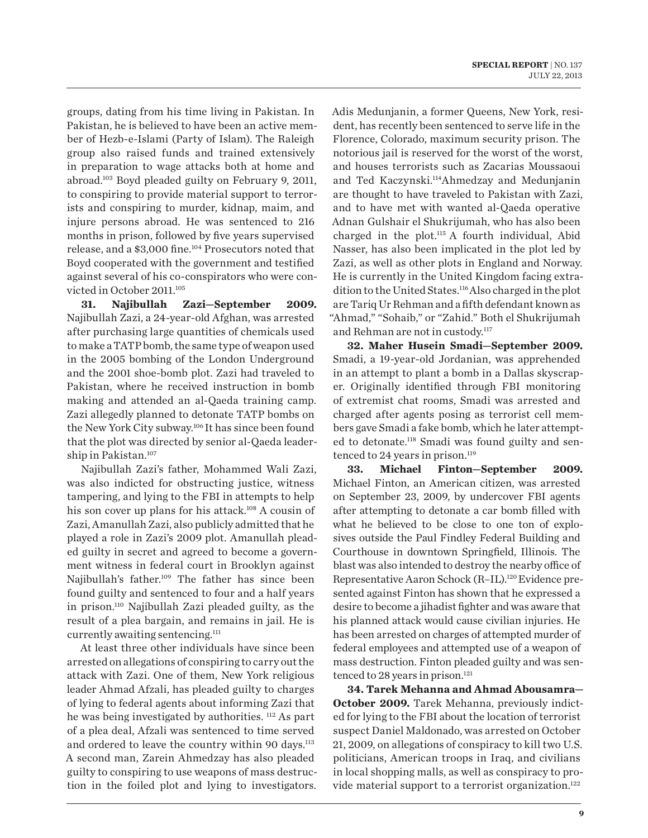groups, dating from his time living in Pakistan. In Pakistan, he is believed to have been an active member of Hezb-e-Islami (Party of Islam). The Raleigh group also raised funds and trained extensively in preparation to wage attacks both at home and abroad.103 Boyd pleaded guilty on February 9, 2011, to conspiring to provide material support to terrorists and conspiring to murder, kidnap, maim, and injure persons abroad. He was sentenced to 216 months in prison, followed by five years supervised release, and a \$3,000 fine.104 Prosecutors noted that Boyd cooperated with the government and testified against several of his co-conspirators who were convicted in October 2011.<sup>105</sup>

**31. Najibullah Zazi—September 2009.** Najibullah Zazi, a 24-year-old Afghan, was arrested after purchasing large quantities of chemicals used to make a TATP bomb, the same type of weapon used in the 2005 bombing of the London Underground and the 2001 shoe-bomb plot. Zazi had traveled to Pakistan, where he received instruction in bomb making and attended an al-Qaeda training camp. Zazi allegedly planned to detonate TATP bombs on the New York City subway.106 It has since been found that the plot was directed by senior al-Qaeda leadership in Pakistan.107

Najibullah Zazi's father, Mohammed Wali Zazi, was also indicted for obstructing justice, witness tampering, and lying to the FBI in attempts to help his son cover up plans for his attack.<sup>108</sup> A cousin of Zazi, Amanullah Zazi, also publicly admitted that he played a role in Zazi's 2009 plot. Amanullah pleaded guilty in secret and agreed to become a government witness in federal court in Brooklyn against Najibullah's father.<sup>109</sup> The father has since been found guilty and sentenced to four and a half years in prison.110 Najibullah Zazi pleaded guilty, as the result of a plea bargain, and remains in jail. He is currently awaiting sentencing.111

At least three other individuals have since been arrested on allegations of conspiring to carry out the attack with Zazi. One of them, New York religious leader Ahmad Afzali, has pleaded guilty to charges of lying to federal agents about informing Zazi that he was being investigated by authorities. 112 As part of a plea deal, Afzali was sentenced to time served and ordered to leave the country within 90 days.<sup>113</sup> A second man, Zarein Ahmedzay has also pleaded guilty to conspiring to use weapons of mass destruction in the foiled plot and lying to investigators.

Adis Medunjanin, a former Queens, New York, resident, has recently been sentenced to serve life in the Florence, Colorado, maximum security prison. The notorious jail is reserved for the worst of the worst, and houses terrorists such as Zacarias Moussaoui and Ted Kaczynski.114Ahmedzay and Medunjanin are thought to have traveled to Pakistan with Zazi, and to have met with wanted al-Qaeda operative Adnan Gulshair el Shukrijumah, who has also been charged in the plot.115 A fourth individual, Abid Nasser, has also been implicated in the plot led by Zazi, as well as other plots in England and Norway. He is currently in the United Kingdom facing extradition to the United States.116 Also charged in the plot are Tariq Ur Rehman and a fifth defendant known as "Ahmad," "Sohaib," or "Zahid." Both el Shukrijumah and Rehman are not in custody.117

**32. Maher Husein Smadi—September 2009.** Smadi, a 19-year-old Jordanian, was apprehended in an attempt to plant a bomb in a Dallas skyscraper. Originally identified through FBI monitoring of extremist chat rooms, Smadi was arrested and charged after agents posing as terrorist cell members gave Smadi a fake bomb, which he later attempted to detonate.118 Smadi was found guilty and sentenced to 24 years in prison.<sup>119</sup>

**33. Michael Finton—September 2009.** Michael Finton, an American citizen, was arrested on September 23, 2009, by undercover FBI agents after attempting to detonate a car bomb filled with what he believed to be close to one ton of explosives outside the Paul Findley Federal Building and Courthouse in downtown Springfield, Illinois. The blast was also intended to destroy the nearby office of Representative Aaron Schock (R–IL).120 Evidence presented against Finton has shown that he expressed a desire to become a jihadist fighter and was aware that his planned attack would cause civilian injuries. He has been arrested on charges of attempted murder of federal employees and attempted use of a weapon of mass destruction. Finton pleaded guilty and was sentenced to 28 years in prison.<sup>121</sup>

**34. Tarek Mehanna and Ahmad Abousamra— October 2009.** Tarek Mehanna, previously indicted for lying to the FBI about the location of terrorist suspect Daniel Maldonado, was arrested on October 21, 2009, on allegations of conspiracy to kill two U.S. politicians, American troops in Iraq, and civilians in local shopping malls, as well as conspiracy to provide material support to a terrorist organization.<sup>122</sup>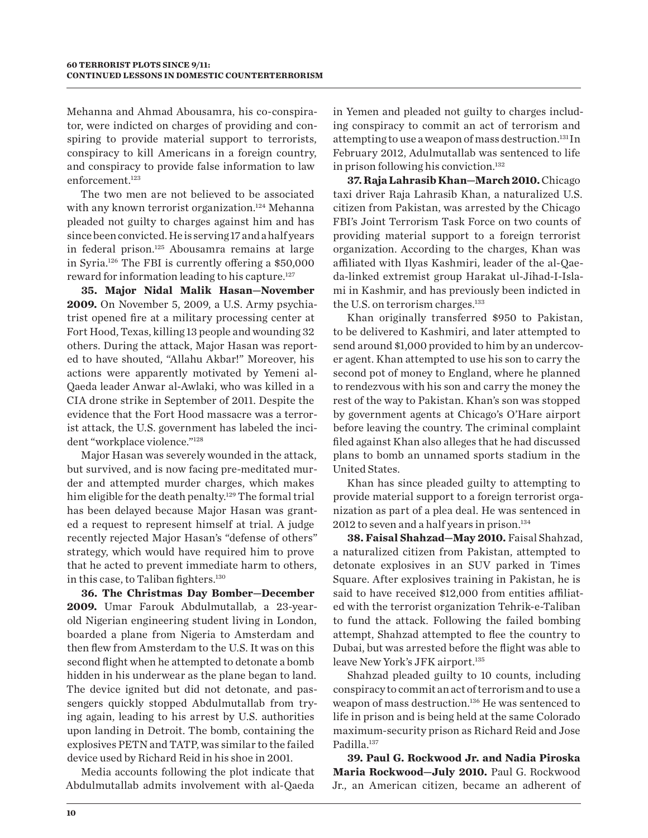Mehanna and Ahmad Abousamra, his co-conspirator, were indicted on charges of providing and conspiring to provide material support to terrorists, conspiracy to kill Americans in a foreign country, and conspiracy to provide false information to law enforcement.<sup>123</sup>

The two men are not believed to be associated with any known terrorist organization.<sup>124</sup> Mehanna pleaded not guilty to charges against him and has since been convicted. He is serving 17 and a half years in federal prison.125 Abousamra remains at large in Syria.126 The FBI is currently offering a \$50,000 reward for information leading to his capture.<sup>127</sup>

**35. Major Nidal Malik Hasan—November 2009.** On November 5, 2009, a U.S. Army psychiatrist opened fire at a military processing center at Fort Hood, Texas, killing 13 people and wounding 32 others. During the attack, Major Hasan was reported to have shouted, "Allahu Akbar!" Moreover, his actions were apparently motivated by Yemeni al-Qaeda leader Anwar al-Awlaki, who was killed in a CIA drone strike in September of 2011. Despite the evidence that the Fort Hood massacre was a terrorist attack, the U.S. government has labeled the incident "workplace violence."<sup>128</sup>

Major Hasan was severely wounded in the attack, but survived, and is now facing pre-meditated murder and attempted murder charges, which makes him eligible for the death penalty.<sup>129</sup> The formal trial has been delayed because Major Hasan was granted a request to represent himself at trial. A judge recently rejected Major Hasan's "defense of others" strategy, which would have required him to prove that he acted to prevent immediate harm to others, in this case, to Taliban fighters.<sup>130</sup>

**36. The Christmas Day Bomber—December 2009.** Umar Farouk Abdulmutallab, a 23-yearold Nigerian engineering student living in London, boarded a plane from Nigeria to Amsterdam and then flew from Amsterdam to the U.S. It was on this second flight when he attempted to detonate a bomb hidden in his underwear as the plane began to land. The device ignited but did not detonate, and passengers quickly stopped Abdulmutallab from trying again, leading to his arrest by U.S. authorities upon landing in Detroit. The bomb, containing the explosives PETN and TATP, was similar to the failed device used by Richard Reid in his shoe in 2001.

Media accounts following the plot indicate that Abdulmutallab admits involvement with al-Qaeda

in Yemen and pleaded not guilty to charges including conspiracy to commit an act of terrorism and attempting to use a weapon of mass destruction.131 In February 2012, Adulmutallab was sentenced to life in prison following his conviction.132

**37. Raja Lahrasib Khan—March 2010.** Chicago taxi driver Raja Lahrasib Khan, a naturalized U.S. citizen from Pakistan, was arrested by the Chicago FBI's Joint Terrorism Task Force on two counts of providing material support to a foreign terrorist organization. According to the charges, Khan was affiliated with Ilyas Kashmiri, leader of the al-Qaeda-linked extremist group Harakat ul-Jihad-I-Islami in Kashmir, and has previously been indicted in the U.S. on terrorism charges.<sup>133</sup>

Khan originally transferred \$950 to Pakistan, to be delivered to Kashmiri, and later attempted to send around \$1,000 provided to him by an undercover agent. Khan attempted to use his son to carry the second pot of money to England, where he planned to rendezvous with his son and carry the money the rest of the way to Pakistan. Khan's son was stopped by government agents at Chicago's O'Hare airport before leaving the country. The criminal complaint filed against Khan also alleges that he had discussed plans to bomb an unnamed sports stadium in the United States.

Khan has since pleaded guilty to attempting to provide material support to a foreign terrorist organization as part of a plea deal. He was sentenced in 2012 to seven and a half years in prison.<sup>134</sup>

**38. Faisal Shahzad—May 2010.** Faisal Shahzad, a naturalized citizen from Pakistan, attempted to detonate explosives in an SUV parked in Times Square. After explosives training in Pakistan, he is said to have received \$12,000 from entities affiliated with the terrorist organization Tehrik-e-Taliban to fund the attack. Following the failed bombing attempt, Shahzad attempted to flee the country to Dubai, but was arrested before the flight was able to leave New York's JFK airport.<sup>135</sup>

Shahzad pleaded guilty to 10 counts, including conspiracy to commit an act of terrorism and to use a weapon of mass destruction.<sup>136</sup> He was sentenced to life in prison and is being held at the same Colorado maximum-security prison as Richard Reid and Jose Padilla.<sup>137</sup>

**39. Paul G. Rockwood Jr. and Nadia Piroska Maria Rockwood—July 2010.** Paul G. Rockwood Jr., an American citizen, became an adherent of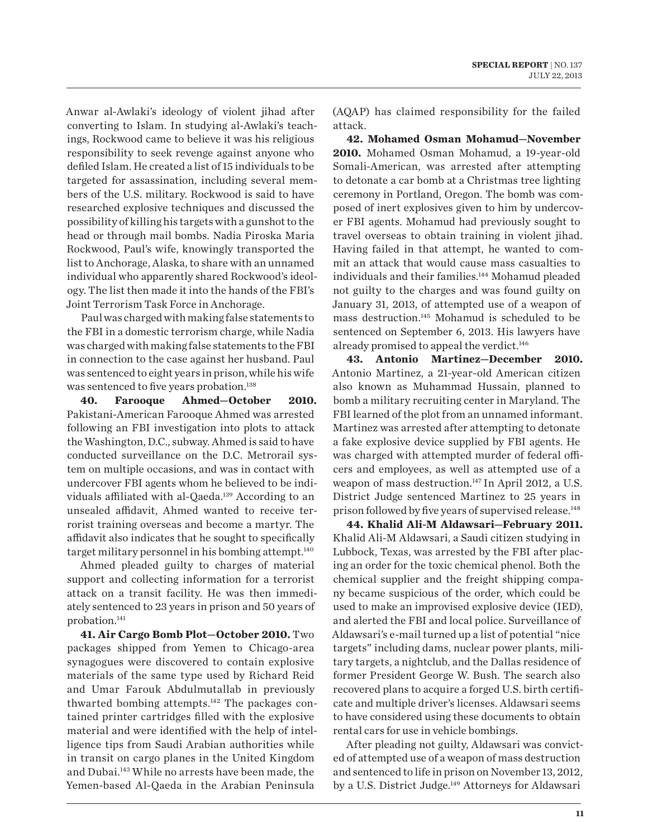Anwar al-Awlaki's ideology of violent jihad after converting to Islam. In studying al-Awlaki's teachings, Rockwood came to believe it was his religious responsibility to seek revenge against anyone who defiled Islam. He created a list of 15 individuals to be targeted for assassination, including several members of the U.S. military. Rockwood is said to have researched explosive techniques and discussed the possibility of killing his targets with a gunshot to the head or through mail bombs. Nadia Piroska Maria Rockwood, Paul's wife, knowingly transported the list to Anchorage, Alaska, to share with an unnamed individual who apparently shared Rockwood's ideology. The list then made it into the hands of the FBI's Joint Terrorism Task Force in Anchorage.

Paul was charged with making false statements to the FBI in a domestic terrorism charge, while Nadia was charged with making false statements to the FBI in connection to the case against her husband. Paul was sentenced to eight years in prison, while his wife was sentenced to five years probation.<sup>138</sup>

**40. Farooque Ahmed—October 2010.**  Pakistani-American Farooque Ahmed was arrested following an FBI investigation into plots to attack the Washington, D.C., subway. Ahmed is said to have conducted surveillance on the D.C. Metrorail system on multiple occasions, and was in contact with undercover FBI agents whom he believed to be individuals affiliated with al-Qaeda.<sup>139</sup> According to an unsealed affidavit, Ahmed wanted to receive terrorist training overseas and become a martyr. The affidavit also indicates that he sought to specifically target military personnel in his bombing attempt.<sup>140</sup>

Ahmed pleaded guilty to charges of material support and collecting information for a terrorist attack on a transit facility. He was then immediately sentenced to 23 years in prison and 50 years of probation.<sup>141</sup>

**41. Air Cargo Bomb Plot—October 2010.** Two packages shipped from Yemen to Chicago-area synagogues were discovered to contain explosive materials of the same type used by Richard Reid and Umar Farouk Abdulmutallab in previously thwarted bombing attempts.142 The packages contained printer cartridges filled with the explosive material and were identified with the help of intelligence tips from Saudi Arabian authorities while in transit on cargo planes in the United Kingdom and Dubai.<sup>143</sup> While no arrests have been made, the Yemen-based Al-Qaeda in the Arabian Peninsula

(AQAP) has claimed responsibility for the failed attack.

**42. Mohamed Osman Mohamud—November 2010.** Mohamed Osman Mohamud, a 19-year-old Somali-American, was arrested after attempting to detonate a car bomb at a Christmas tree lighting ceremony in Portland, Oregon. The bomb was composed of inert explosives given to him by undercover FBI agents. Mohamud had previously sought to travel overseas to obtain training in violent jihad. Having failed in that attempt, he wanted to commit an attack that would cause mass casualties to individuals and their families.<sup>144</sup> Mohamud pleaded not guilty to the charges and was found guilty on January 31, 2013, of attempted use of a weapon of mass destruction.145 Mohamud is scheduled to be sentenced on September 6, 2013. His lawyers have already promised to appeal the verdict.<sup>146</sup>

**43. Antonio Martinez—December 2010.**  Antonio Martinez, a 21-year-old American citizen also known as Muhammad Hussain, planned to bomb a military recruiting center in Maryland. The FBI learned of the plot from an unnamed informant. Martinez was arrested after attempting to detonate a fake explosive device supplied by FBI agents. He was charged with attempted murder of federal officers and employees, as well as attempted use of a weapon of mass destruction.<sup>147</sup> In April 2012, a U.S. District Judge sentenced Martinez to 25 years in prison followed by five years of supervised release.148

**44. Khalid Ali-M Aldawsari—February 2011.**  Khalid Ali-M Aldawsari, a Saudi citizen studying in Lubbock, Texas, was arrested by the FBI after placing an order for the toxic chemical phenol. Both the chemical supplier and the freight shipping company became suspicious of the order, which could be used to make an improvised explosive device (IED), and alerted the FBI and local police. Surveillance of Aldawsari's e-mail turned up a list of potential "nice targets" including dams, nuclear power plants, military targets, a nightclub, and the Dallas residence of former President George W. Bush. The search also recovered plans to acquire a forged U.S. birth certificate and multiple driver's licenses. Aldawsari seems to have considered using these documents to obtain rental cars for use in vehicle bombings.

After pleading not guilty, Aldawsari was convicted of attempted use of a weapon of mass destruction and sentenced to life in prison on November 13, 2012, by a U.S. District Judge.<sup>149</sup> Attorneys for Aldawsari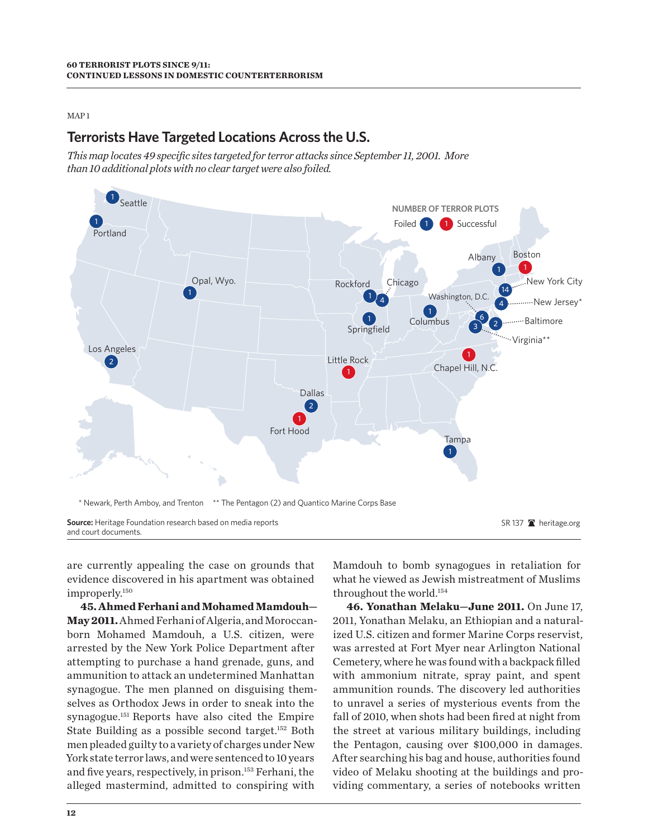#### MAP 1

## **Terrorists Have Targeted Locations Across the U.S.**

*This map locates 49 specific sites targeted for terror attacks since September 11, 2001. More than 10 additional plots with no clear target were also foiled.* 



are currently appealing the case on grounds that evidence discovered in his apartment was obtained improperly.150

**45. Ahmed Ferhani and Mohamed Mamdouh— May 2011.** Ahmed Ferhani of Algeria, and Moroccanborn Mohamed Mamdouh, a U.S. citizen, were arrested by the New York Police Department after attempting to purchase a hand grenade, guns, and ammunition to attack an undetermined Manhattan synagogue. The men planned on disguising themselves as Orthodox Jews in order to sneak into the synagogue.151 Reports have also cited the Empire State Building as a possible second target.152 Both men pleaded guilty to a variety of charges under New York state terror laws, and were sentenced to 10 years and five years, respectively, in prison.153 Ferhani, the alleged mastermind, admitted to conspiring with

Mamdouh to bomb synagogues in retaliation for what he viewed as Jewish mistreatment of Muslims throughout the world.154

**46. Yonathan Melaku—June 2011.** On June 17, 2011, Yonathan Melaku, an Ethiopian and a naturalized U.S. citizen and former Marine Corps reservist, was arrested at Fort Myer near Arlington National Cemetery, where he was found with a backpack filled with ammonium nitrate, spray paint, and spent ammunition rounds. The discovery led authorities to unravel a series of mysterious events from the fall of 2010, when shots had been fired at night from the street at various military buildings, including the Pentagon, causing over \$100,000 in damages. After searching his bag and house, authorities found video of Melaku shooting at the buildings and providing commentary, a series of notebooks written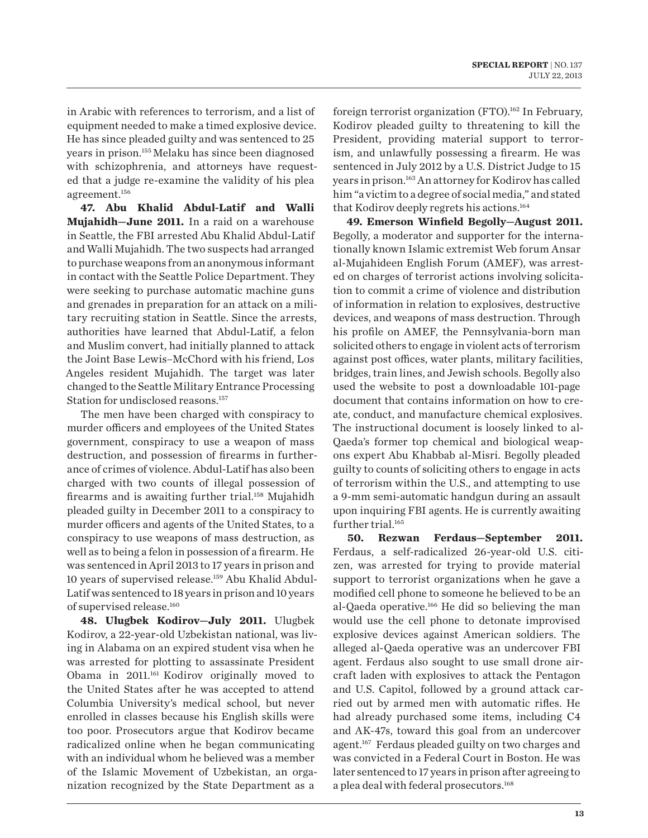in Arabic with references to terrorism, and a list of equipment needed to make a timed explosive device. He has since pleaded guilty and was sentenced to 25 years in prison.155 Melaku has since been diagnosed with schizophrenia, and attorneys have requested that a judge re-examine the validity of his plea agreement.156

**47. Abu Khalid Abdul-Latif and Walli Mujahidh—June 2011.** In a raid on a warehouse in Seattle, the FBI arrested Abu Khalid Abdul-Latif and Walli Mujahidh. The two suspects had arranged to purchase weapons from an anonymous informant in contact with the Seattle Police Department. They were seeking to purchase automatic machine guns and grenades in preparation for an attack on a military recruiting station in Seattle. Since the arrests, authorities have learned that Abdul-Latif, a felon and Muslim convert, had initially planned to attack the Joint Base Lewis–McChord with his friend, Los Angeles resident Mujahidh. The target was later changed to the Seattle Military Entrance Processing Station for undisclosed reasons.<sup>157</sup>

The men have been charged with conspiracy to murder officers and employees of the United States government, conspiracy to use a weapon of mass destruction, and possession of firearms in furtherance of crimes of violence. Abdul-Latif has also been charged with two counts of illegal possession of firearms and is awaiting further trial.<sup>158</sup> Mujahidh pleaded guilty in December 2011 to a conspiracy to murder officers and agents of the United States, to a conspiracy to use weapons of mass destruction, as well as to being a felon in possession of a firearm. He was sentenced in April 2013 to 17 years in prison and 10 years of supervised release.159 Abu Khalid Abdul-Latif was sentenced to 18 years in prison and 10 years of supervised release.160

**48. Ulugbek Kodirov—July 2011.** Ulugbek Kodirov, a 22-year-old Uzbekistan national, was living in Alabama on an expired student visa when he was arrested for plotting to assassinate President Obama in 2011.161 Kodirov originally moved to the United States after he was accepted to attend Columbia University's medical school, but never enrolled in classes because his English skills were too poor. Prosecutors argue that Kodirov became radicalized online when he began communicating with an individual whom he believed was a member of the Islamic Movement of Uzbekistan, an organization recognized by the State Department as a

foreign terrorist organization (FTO).162 In February, Kodirov pleaded guilty to threatening to kill the President, providing material support to terrorism, and unlawfully possessing a firearm. He was sentenced in July 2012 by a U.S. District Judge to 15 years in prison.163 An attorney for Kodirov has called him "a victim to a degree of social media," and stated that Kodirov deeply regrets his actions.164

**49. Emerson Winfield Begolly—August 2011.** Begolly, a moderator and supporter for the internationally known Islamic extremist Web forum Ansar al-Mujahideen English Forum (AMEF), was arrested on charges of terrorist actions involving solicitation to commit a crime of violence and distribution of information in relation to explosives, destructive devices, and weapons of mass destruction. Through his profile on AMEF, the Pennsylvania-born man solicited others to engage in violent acts of terrorism against post offices, water plants, military facilities, bridges, train lines, and Jewish schools. Begolly also used the website to post a downloadable 101-page document that contains information on how to create, conduct, and manufacture chemical explosives. The instructional document is loosely linked to al-Qaeda's former top chemical and biological weapons expert Abu Khabbab al-Misri. Begolly pleaded guilty to counts of soliciting others to engage in acts of terrorism within the U.S., and attempting to use a 9-mm semi-automatic handgun during an assault upon inquiring FBI agents. He is currently awaiting further trial.<sup>165</sup>

**50. Rezwan Ferdaus—September 2011.**  Ferdaus, a self-radicalized 26-year-old U.S. citizen, was arrested for trying to provide material support to terrorist organizations when he gave a modified cell phone to someone he believed to be an al-Qaeda operative.<sup>166</sup> He did so believing the man would use the cell phone to detonate improvised explosive devices against American soldiers. The alleged al-Qaeda operative was an undercover FBI agent. Ferdaus also sought to use small drone aircraft laden with explosives to attack the Pentagon and U.S. Capitol, followed by a ground attack carried out by armed men with automatic rifles. He had already purchased some items, including C4 and AK-47s, toward this goal from an undercover agent.<sup>167</sup> Ferdaus pleaded guilty on two charges and was convicted in a Federal Court in Boston. He was later sentenced to 17 years in prison after agreeing to a plea deal with federal prosecutors.<sup>168</sup>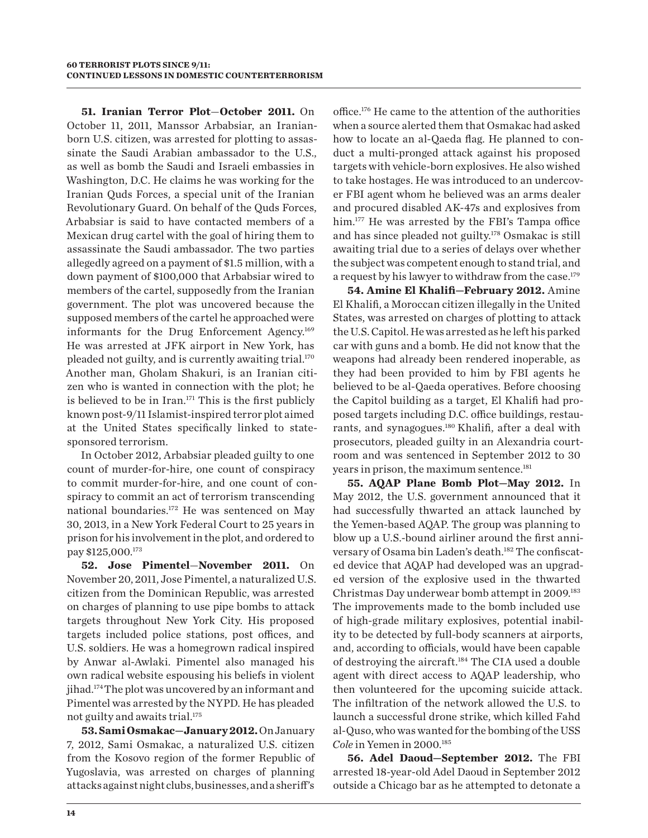**51. Iranian Terror Plot**—**October 2011.** On October 11, 2011, Manssor Arbabsiar, an Iranianborn U.S. citizen, was arrested for plotting to assassinate the Saudi Arabian ambassador to the U.S., as well as bomb the Saudi and Israeli embassies in Washington, D.C. He claims he was working for the Iranian Quds Forces, a special unit of the Iranian Revolutionary Guard. On behalf of the Quds Forces, Arbabsiar is said to have contacted members of a Mexican drug cartel with the goal of hiring them to assassinate the Saudi ambassador. The two parties allegedly agreed on a payment of \$1.5 million, with a down payment of \$100,000 that Arbabsiar wired to members of the cartel, supposedly from the Iranian government. The plot was uncovered because the supposed members of the cartel he approached were informants for the Drug Enforcement Agency.<sup>169</sup> He was arrested at JFK airport in New York, has pleaded not guilty, and is currently awaiting trial.<sup>170</sup> Another man, Gholam Shakuri, is an Iranian citizen who is wanted in connection with the plot; he is believed to be in Iran. $171$  This is the first publicly known post-9/11 Islamist-inspired terror plot aimed at the United States specifically linked to statesponsored terrorism.

In October 2012, Arbabsiar pleaded guilty to one count of murder-for-hire, one count of conspiracy to commit murder-for-hire, and one count of conspiracy to commit an act of terrorism transcending national boundaries.172 He was sentenced on May 30, 2013, in a New York Federal Court to 25 years in prison for his involvement in the plot, and ordered to pay \$125,000.173

**52. Jose Pimentel**—**November 2011.** On November 20, 2011, Jose Pimentel, a naturalized U.S. citizen from the Dominican Republic, was arrested on charges of planning to use pipe bombs to attack targets throughout New York City. His proposed targets included police stations, post offices, and U.S. soldiers. He was a homegrown radical inspired by Anwar al-Awlaki. Pimentel also managed his own radical website espousing his beliefs in violent jihad.174 The plot was uncovered by an informant and Pimentel was arrested by the NYPD. He has pleaded not guilty and awaits trial.175

**53. Sami Osmakac—January 2012.** On January 7, 2012, Sami Osmakac, a naturalized U.S. citizen from the Kosovo region of the former Republic of Yugoslavia, was arrested on charges of planning attacks against night clubs, businesses, and a sheriff's

office.176 He came to the attention of the authorities when a source alerted them that Osmakac had asked how to locate an al-Qaeda flag. He planned to conduct a multi-pronged attack against his proposed targets with vehicle-born explosives. He also wished to take hostages. He was introduced to an undercover FBI agent whom he believed was an arms dealer and procured disabled AK-47s and explosives from him.177 He was arrested by the FBI's Tampa office and has since pleaded not guilty.178 Osmakac is still awaiting trial due to a series of delays over whether the subject was competent enough to stand trial, and a request by his lawyer to withdraw from the case.<sup>179</sup>

**54. Amine El Khalifi—February 2012.** Amine El Khalifi, a Moroccan citizen illegally in the United States, was arrested on charges of plotting to attack the U.S. Capitol. He was arrested as he left his parked car with guns and a bomb. He did not know that the weapons had already been rendered inoperable, as they had been provided to him by FBI agents he believed to be al-Qaeda operatives. Before choosing the Capitol building as a target, El Khalifi had proposed targets including D.C. office buildings, restaurants, and synagogues.180 Khalifi, after a deal with prosecutors, pleaded guilty in an Alexandria courtroom and was sentenced in September 2012 to 30 years in prison, the maximum sentence.<sup>181</sup>

**55. AQAP Plane Bomb Plot—May 2012.** In May 2012, the U.S. government announced that it had successfully thwarted an attack launched by the Yemen-based AQAP. The group was planning to blow up a U.S.-bound airliner around the first anniversary of Osama bin Laden's death.<sup>182</sup> The confiscated device that AQAP had developed was an upgraded version of the explosive used in the thwarted Christmas Day underwear bomb attempt in 2009.183 The improvements made to the bomb included use of high-grade military explosives, potential inability to be detected by full-body scanners at airports, and, according to officials, would have been capable of destroying the aircraft.184 The CIA used a double agent with direct access to AQAP leadership, who then volunteered for the upcoming suicide attack. The infiltration of the network allowed the U.S. to launch a successful drone strike, which killed Fahd al-Quso, who was wanted for the bombing of the USS *Cole* in Yemen in 2000.185

**56. Adel Daoud—September 2012.** The FBI arrested 18-year-old Adel Daoud in September 2012 outside a Chicago bar as he attempted to detonate a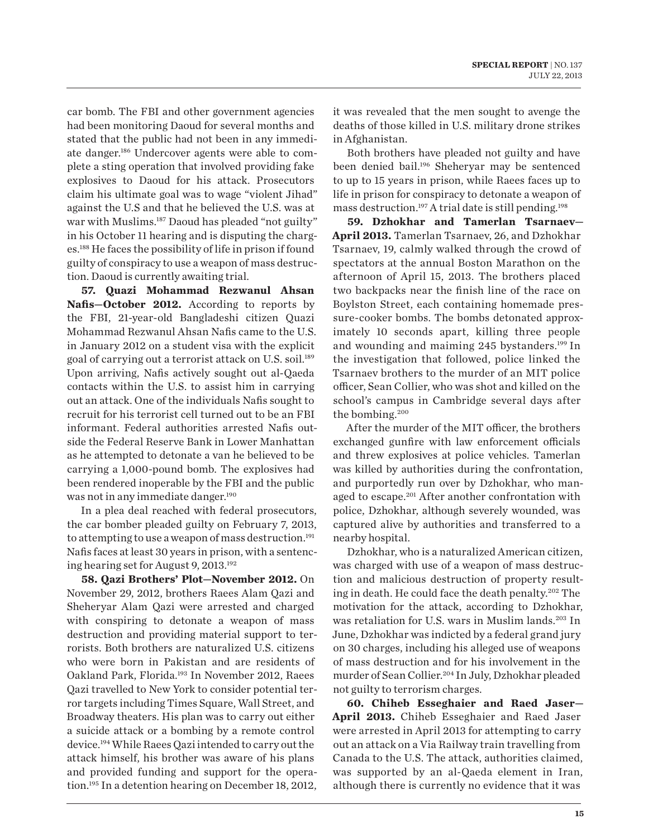car bomb. The FBI and other government agencies had been monitoring Daoud for several months and stated that the public had not been in any immediate danger.186 Undercover agents were able to complete a sting operation that involved providing fake explosives to Daoud for his attack. Prosecutors claim his ultimate goal was to wage "violent Jihad" against the U.S and that he believed the U.S. was at war with Muslims.<sup>187</sup> Daoud has pleaded "not guilty" in his October 11 hearing and is disputing the charges.188 He faces the possibility of life in prison if found guilty of conspiracy to use a weapon of mass destruction. Daoud is currently awaiting trial.

**57. Quazi Mohammad Rezwanul Ahsan Nafis—October 2012.** According to reports by the FBI, 21-year-old Bangladeshi citizen Quazi Mohammad Rezwanul Ahsan Nafis came to the U.S. in January 2012 on a student visa with the explicit goal of carrying out a terrorist attack on U.S. soil.<sup>189</sup> Upon arriving, Nafis actively sought out al-Qaeda contacts within the U.S. to assist him in carrying out an attack. One of the individuals Nafis sought to recruit for his terrorist cell turned out to be an FBI informant. Federal authorities arrested Nafis outside the Federal Reserve Bank in Lower Manhattan as he attempted to detonate a van he believed to be carrying a 1,000-pound bomb. The explosives had been rendered inoperable by the FBI and the public was not in any immediate danger.<sup>190</sup>

In a plea deal reached with federal prosecutors, the car bomber pleaded guilty on February 7, 2013, to attempting to use a weapon of mass destruction.<sup>191</sup> Nafis faces at least 30 years in prison, with a sentencing hearing set for August 9, 2013.192

**58. Qazi Brothers' Plot—November 2012.** On November 29, 2012, brothers Raees Alam Qazi and Sheheryar Alam Qazi were arrested and charged with conspiring to detonate a weapon of mass destruction and providing material support to terrorists. Both brothers are naturalized U.S. citizens who were born in Pakistan and are residents of Oakland Park, Florida.193 In November 2012, Raees Qazi travelled to New York to consider potential terror targets including Times Square, Wall Street, and Broadway theaters. His plan was to carry out either a suicide attack or a bombing by a remote control device.194 While Raees Qazi intended to carry out the attack himself, his brother was aware of his plans and provided funding and support for the operation.195 In a detention hearing on December 18, 2012,

it was revealed that the men sought to avenge the deaths of those killed in U.S. military drone strikes in Afghanistan.

Both brothers have pleaded not guilty and have been denied bail.196 Sheheryar may be sentenced to up to 15 years in prison, while Raees faces up to life in prison for conspiracy to detonate a weapon of mass destruction.197 A trial date is still pending.198

**59. Dzhokhar and Tamerlan Tsarnaev— April 2013.** Tamerlan Tsarnaev, 26, and Dzhokhar Tsarnaev, 19, calmly walked through the crowd of spectators at the annual Boston Marathon on the afternoon of April 15, 2013. The brothers placed two backpacks near the finish line of the race on Boylston Street, each containing homemade pressure-cooker bombs. The bombs detonated approximately 10 seconds apart, killing three people and wounding and maiming 245 bystanders.199 In the investigation that followed, police linked the Tsarnaev brothers to the murder of an MIT police officer, Sean Collier, who was shot and killed on the school's campus in Cambridge several days after the bombing.200

After the murder of the MIT officer, the brothers exchanged gunfire with law enforcement officials and threw explosives at police vehicles. Tamerlan was killed by authorities during the confrontation, and purportedly run over by Dzhokhar, who managed to escape.<sup>201</sup> After another confrontation with police, Dzhokhar, although severely wounded, was captured alive by authorities and transferred to a nearby hospital.

Dzhokhar, who is a naturalized American citizen, was charged with use of a weapon of mass destruction and malicious destruction of property resulting in death. He could face the death penalty.202 The motivation for the attack, according to Dzhokhar, was retaliation for U.S. wars in Muslim lands.<sup>203</sup> In June, Dzhokhar was indicted by a federal grand jury on 30 charges, including his alleged use of weapons of mass destruction and for his involvement in the murder of Sean Collier.204 In July, Dzhokhar pleaded not guilty to terrorism charges.

**60. Chiheb Esseghaier and Raed Jaser— April 2013.** Chiheb Esseghaier and Raed Jaser were arrested in April 2013 for attempting to carry out an attack on a Via Railway train travelling from Canada to the U.S. The attack, authorities claimed, was supported by an al-Qaeda element in Iran, although there is currently no evidence that it was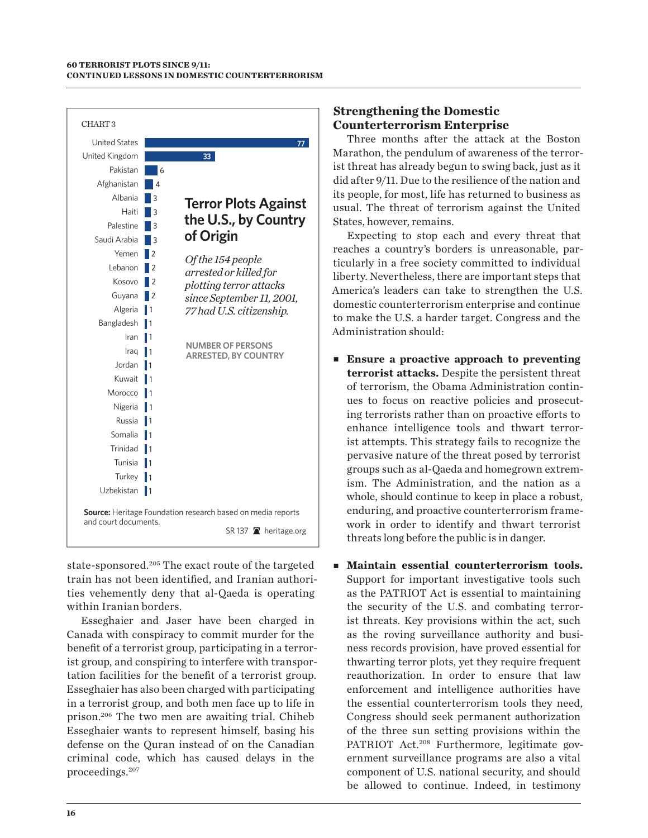

state-sponsored.<sup>205</sup> The exact route of the targeted train has not been identified, and Iranian authorities vehemently deny that al-Qaeda is operating within Iranian borders.

Esseghaier and Jaser have been charged in Canada with conspiracy to commit murder for the benefit of a terrorist group, participating in a terrorist group, and conspiring to interfere with transportation facilities for the benefit of a terrorist group. Esseghaier has also been charged with participating in a terrorist group, and both men face up to life in prison.206 The two men are awaiting trial. Chiheb Esseghaier wants to represent himself, basing his defense on the Quran instead of on the Canadian criminal code, which has caused delays in the proceedings.207

## **Strengthening the Domestic Counterterrorism Enterprise**

Three months after the attack at the Boston Marathon, the pendulum of awareness of the terrorist threat has already begun to swing back, just as it did after 9/11. Due to the resilience of the nation and its people, for most, life has returned to business as usual. The threat of terrorism against the United States, however, remains.

Expecting to stop each and every threat that reaches a country's borders is unreasonable, particularly in a free society committed to individual liberty. Nevertheless, there are important steps that America's leaders can take to strengthen the U.S. domestic counterterrorism enterprise and continue to make the U.S. a harder target. Congress and the Administration should:

- **Ensure a proactive approach to preventing terrorist attacks.** Despite the persistent threat of terrorism, the Obama Administration continues to focus on reactive policies and prosecuting terrorists rather than on proactive efforts to enhance intelligence tools and thwart terrorist attempts. This strategy fails to recognize the pervasive nature of the threat posed by terrorist groups such as al-Qaeda and homegrown extremism. The Administration, and the nation as a whole, should continue to keep in place a robust, enduring, and proactive counterterrorism framework in order to identify and thwart terrorist threats long before the public is in danger.
- **Maintain essential counterterrorism tools.** Support for important investigative tools such as the PATRIOT Act is essential to maintaining the security of the U.S. and combating terrorist threats. Key provisions within the act, such as the roving surveillance authority and business records provision, have proved essential for thwarting terror plots, yet they require frequent reauthorization. In order to ensure that law enforcement and intelligence authorities have the essential counterterrorism tools they need, Congress should seek permanent authorization of the three sun setting provisions within the PATRIOT Act.<sup>208</sup> Furthermore, legitimate government surveillance programs are also a vital component of U.S. national security, and should be allowed to continue. Indeed, in testimony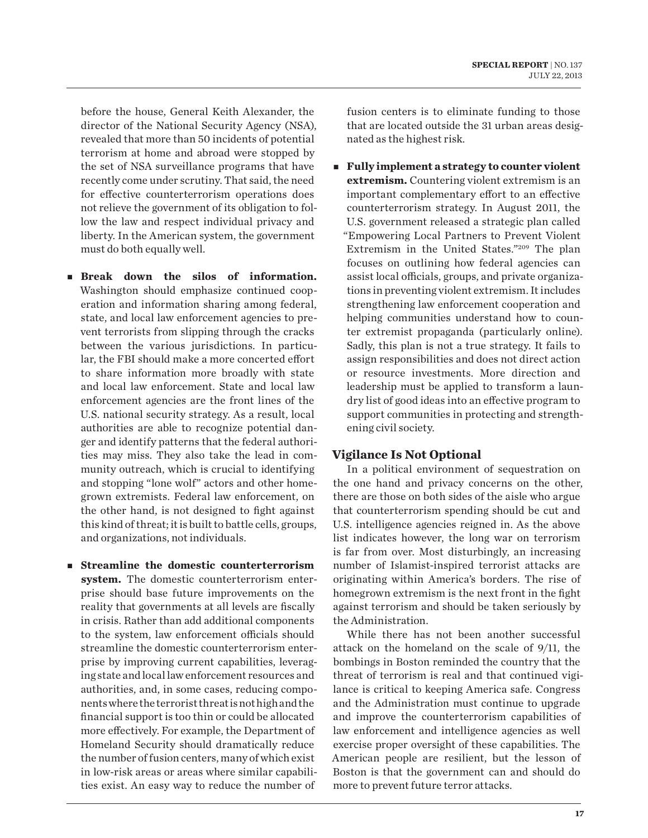before the house, General Keith Alexander, the director of the National Security Agency (NSA), revealed that more than 50 incidents of potential terrorism at home and abroad were stopped by the set of NSA surveillance programs that have recently come under scrutiny. That said, the need for effective counterterrorism operations does not relieve the government of its obligation to follow the law and respect individual privacy and liberty. In the American system, the government must do both equally well.

- **Break** down the silos of information. Washington should emphasize continued cooperation and information sharing among federal, state, and local law enforcement agencies to prevent terrorists from slipping through the cracks between the various jurisdictions. In particular, the FBI should make a more concerted effort to share information more broadly with state and local law enforcement. State and local law enforcement agencies are the front lines of the U.S. national security strategy. As a result, local authorities are able to recognize potential danger and identify patterns that the federal authorities may miss. They also take the lead in community outreach, which is crucial to identifying and stopping "lone wolf" actors and other homegrown extremists. Federal law enforcement, on the other hand, is not designed to fight against this kind of threat; it is built to battle cells, groups, and organizations, not individuals.
- **Streamline the domestic counterterrorism system.** The domestic counterterrorism enterprise should base future improvements on the reality that governments at all levels are fiscally in crisis. Rather than add additional components to the system, law enforcement officials should streamline the domestic counterterrorism enterprise by improving current capabilities, leveraging state and local law enforcement resources and authorities, and, in some cases, reducing components where the terrorist threat is not high and the financial support is too thin or could be allocated more effectively. For example, the Department of Homeland Security should dramatically reduce the number of fusion centers, many of which exist in low-risk areas or areas where similar capabilities exist. An easy way to reduce the number of

fusion centers is to eliminate funding to those that are located outside the 31 urban areas designated as the highest risk*.*

■ **Fully implement a strategy to counter violent extremism.** Countering violent extremism is an important complementary effort to an effective counterterrorism strategy. In August 2011, the U.S. government released a strategic plan called "Empowering Local Partners to Prevent Violent Extremism in the United States."209 The plan focuses on outlining how federal agencies can assist local officials, groups, and private organizations in preventing violent extremism. It includes strengthening law enforcement cooperation and helping communities understand how to counter extremist propaganda (particularly online). Sadly, this plan is not a true strategy. It fails to assign responsibilities and does not direct action or resource investments. More direction and leadership must be applied to transform a laundry list of good ideas into an effective program to support communities in protecting and strengthening civil society.

## **Vigilance Is Not Optional**

In a political environment of sequestration on the one hand and privacy concerns on the other, there are those on both sides of the aisle who argue that counterterrorism spending should be cut and U.S. intelligence agencies reigned in. As the above list indicates however, the long war on terrorism is far from over. Most disturbingly, an increasing number of Islamist-inspired terrorist attacks are originating within America's borders. The rise of homegrown extremism is the next front in the fight against terrorism and should be taken seriously by the Administration.

While there has not been another successful attack on the homeland on the scale of 9/11, the bombings in Boston reminded the country that the threat of terrorism is real and that continued vigilance is critical to keeping America safe. Congress and the Administration must continue to upgrade and improve the counterterrorism capabilities of law enforcement and intelligence agencies as well exercise proper oversight of these capabilities. The American people are resilient, but the lesson of Boston is that the government can and should do more to prevent future terror attacks.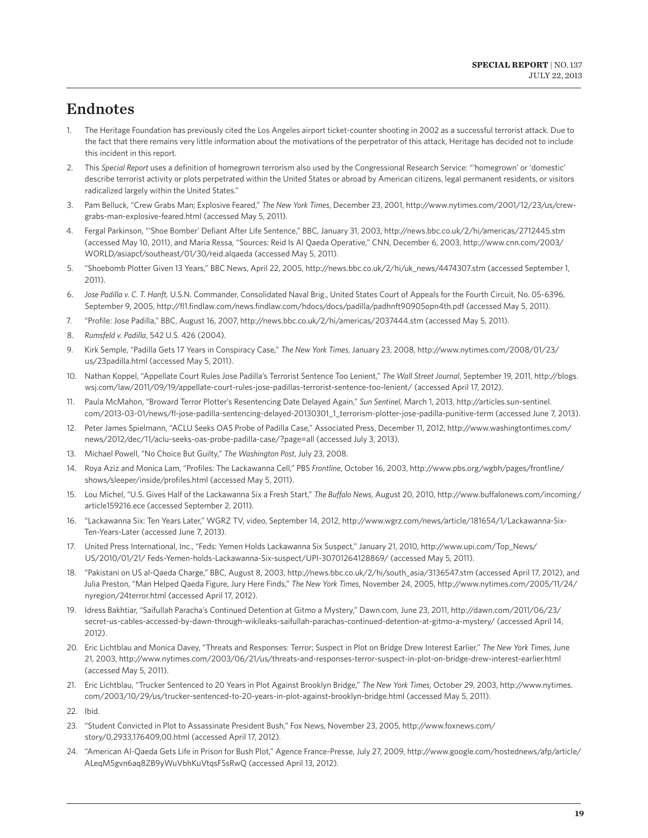# Endnotes

- 1. The Heritage Foundation has previously cited the Los Angeles airport ticket-counter shooting in 2002 as a successful terrorist attack. Due to the fact that there remains very little information about the motivations of the perpetrator of this attack, Heritage has decided not to include this incident in this report.
- 2. This *Special Report* uses a definition of homegrown terrorism also used by the Congressional Research Service: "'homegrown' or 'domestic' describe terrorist activity or plots perpetrated within the United States or abroad by American citizens, legal permanent residents, or visitors radicalized largely within the United States."
- 3. Pam Belluck, "Crew Grabs Man; Explosive Feared," *The New York Times*, December 23, 2001, http://www.nytimes.com/2001/12/23/us/crewgrabs-man-explosive-feared.html (accessed May 5, 2011).
- 4. Fergal Parkinson, "'Shoe Bomber' Defiant After Life Sentence," BBC, January 31, 2003, http://news.bbc.co.uk/2/hi/americas/2712445.stm (accessed May 10, 2011), and Maria Ressa, "Sources: Reid Is Al Qaeda Operative," CNN, December 6, 2003, http://www.cnn.com/2003/ WORLD/asiapcf/southeast/01/30/reid.alqaeda (accessed May 5, 2011).
- 5. "Shoebomb Plotter Given 13 Years," BBC News, April 22, 2005, http://news.bbc.co.uk/2/hi/uk\_news/4474307.stm (accessed September 1, 2011).
- 6. *Jose Padilla v. C. T. Hanft,* U.S.N. Commander, Consolidated Naval Brig., United States Court of Appeals for the Fourth Circuit, No. 05-6396, September 9, 2005, http://fl1.findlaw.com/news.findlaw.com/hdocs/docs/padilla/padhnft90905opn4th.pdf (accessed May 5, 2011).
- 7. "Profile: Jose Padilla," BBC, August 16, 2007, http://news.bbc.co.uk/2/hi/americas/2037444.stm (accessed May 5, 2011).
- 8. *Rumsfeld v. Padilla*, 542 U.S. 426 (2004)*.*
- 9. Kirk Semple, "Padilla Gets 17 Years in Conspiracy Case," *The New York Times*, January 23, 2008, http://www.nytimes.com/2008/01/23/ us/23padilla.html (accessed May 5, 2011).
- 10. Nathan Koppel, "Appellate Court Rules Jose Padilla's Terrorist Sentence Too Lenient," *The Wall Street Journal*, September 19, 2011, http://blogs. wsj.com/law/2011/09/19/appellate-court-rules-jose-padillas-terrorist-sentence-too-lenient/ (accessed April 17, 2012).
- 11. Paula McMahon, "Broward Terror Plotter's Resentencing Date Delayed Again," *Sun Sentinel,* March 1, 2013, http://articles.sun-sentinel. com/2013-03-01/news/fl-jose-padilla-sentencing-delayed-20130301\_1\_terrorism-plotter-jose-padilla-punitive-term (accessed June 7, 2013).
- 12. Peter James Spielmann, "ACLU Seeks OAS Probe of Padilla Case," Associated Press, December 11, 2012, http://www.washingtontimes.com/ news/2012/dec/11/aclu-seeks-oas-probe-padilla-case/?page=all (accessed July 3, 2013).
- 13. Michael Powell, "No Choice But Guilty," *The Washington Post*, July 23, 2008.
- 14. Roya Aziz and Monica Lam, "Profiles: The Lackawanna Cell," PBS *Frontline*, October 16, 2003, http://www.pbs.org/wgbh/pages/frontline/ shows/sleeper/inside/profiles.html (accessed May 5, 2011).
- 15. Lou Michel, "U.S. Gives Half of the Lackawanna Six a Fresh Start," *The Buffalo News*, August 20, 2010, http://www.buffalonews.com/incoming/ article159216.ece (accessed September 2, 2011).
- 16. "Lackawanna Six: Ten Years Later," WGRZ TV, video, September 14, 2012, http://www.wgrz.com/news/article/181654/1/Lackawanna-Six-Ten-Years-Later (accessed June 7, 2013).
- 17. United Press International, Inc., "Feds: Yemen Holds Lackawanna Six Suspect," January 21, 2010, http://www.upi.com/Top\_News/ US/2010/01/21/ Feds-Yemen-holds-Lackawanna-Six-suspect/UPI-30701264128869/ (accessed May 5, 2011).
- 18. "Pakistani on US al-Qaeda Charge," BBC, August 8, 2003, http://news.bbc.co.uk/2/hi/south\_asia/3136547.stm (accessed April 17, 2012), and Julia Preston, "Man Helped Qaeda Figure, Jury Here Finds," *The New York Times*, November 24, 2005, http://www.nytimes.com/2005/11/24/ nyregion/24terror.html (accessed April 17, 2012).
- 19. Idress Bakhtiar, "Saifullah Paracha's Continued Detention at Gitmo a Mystery," Dawn.com, June 23, 2011, http://dawn.com/2011/06/23/ secret-us-cables-accessed-by-dawn-through-wikileaks-saifullah-parachas-continued-detention-at-gitmo-a-mystery/ (accessed April 14, 2012).
- 20. Eric Lichtblau and Monica Davey, "Threats and Responses: Terror; Suspect in Plot on Bridge Drew Interest Earlier," *The New York Times*, June 21, 2003, http://www.nytimes.com/2003/06/21/us/threats-and-responses-terror-suspect-in-plot-on-bridge-drew-interest-earlier.html (accessed May 5, 2011).
- 21. Eric Lichtblau, "Trucker Sentenced to 20 Years in Plot Against Brooklyn Bridge," *The New York Times*, October 29, 2003, http://www.nytimes. com/2003/10/29/us/trucker-sentenced-to-20-years-in-plot-against-brooklyn-bridge.html (accessed May 5, 2011).
- 22. Ibid.
- 23. "Student Convicted in Plot to Assassinate President Bush," Fox News, November 23, 2005, http://www.foxnews.com/ story/0,2933,176409,00.html (accessed April 17, 2012).
- 24. "American Al-Qaeda Gets Life in Prison for Bush Plot," Agence France-Presse, July 27, 2009, http://www.google.com/hostednews/afp/article/ ALeqM5gvn6aq8ZB9yWuVbhKuVtqsFSsRwQ (accessed April 13, 2012).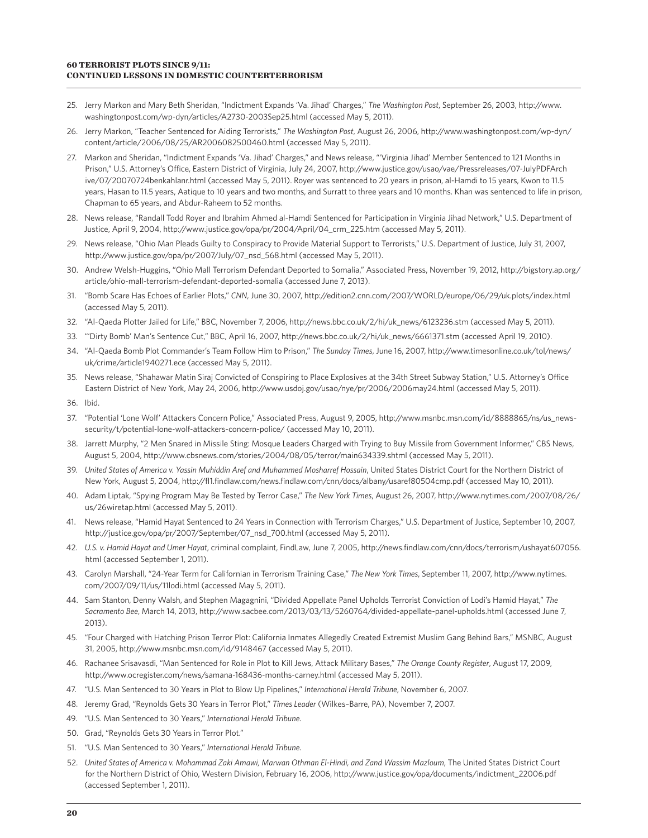#### **60 TERRORIST PLOTS SINCE 9/11: CONTINUED LESSONS IN DOMESTIC COUNTERTERRORISM**

- 25. Jerry Markon and Mary Beth Sheridan, "Indictment Expands 'Va. Jihad' Charges," *The Washington Post*, September 26, 2003, http://www. washingtonpost.com/wp-dyn/articles/A2730-2003Sep25.html (accessed May 5, 2011).
- 26. Jerry Markon, "Teacher Sentenced for Aiding Terrorists," *The Washington Post*, August 26, 2006, http://www.washingtonpost.com/wp-dyn/ content/article/2006/08/25/AR2006082500460.html (accessed May 5, 2011).
- 27. Markon and Sheridan, "Indictment Expands 'Va. Jihad' Charges," and News release, "'Virginia Jihad' Member Sentenced to 121 Months in Prison," U.S. Attorney's Office, Eastern District of Virginia, July 24, 2007, http://www.justice.gov/usao/vae/Pressreleases/07-JulyPDFArch ive/07/20070724benkahlanr.html (accessed May 5, 2011). Royer was sentenced to 20 years in prison, al-Hamdi to 15 years, Kwon to 11.5 years, Hasan to 11.5 years, Aatique to 10 years and two months, and Surratt to three years and 10 months. Khan was sentenced to life in prison, Chapman to 65 years, and Abdur-Raheem to 52 months.
- 28. News release, "Randall Todd Royer and Ibrahim Ahmed al-Hamdi Sentenced for Participation in Virginia Jihad Network," U.S. Department of Justice, April 9, 2004, http://www.justice.gov/opa/pr/2004/April/04\_crm\_225.htm (accessed May 5, 2011).
- 29. News release, "Ohio Man Pleads Guilty to Conspiracy to Provide Material Support to Terrorists," U.S. Department of Justice, July 31, 2007, http://www.justice.gov/opa/pr/2007/July/07\_nsd\_568.html (accessed May 5, 2011).
- 30. Andrew Welsh-Huggins, "Ohio Mall Terrorism Defendant Deported to Somalia," Associated Press, November 19, 2012, http://bigstory.ap.org/ article/ohio-mall-terrorism-defendant-deported-somalia (accessed June 7, 2013).
- 31. "Bomb Scare Has Echoes of Earlier Plots," *CNN*, June 30, 2007, http://edition2.cnn.com/2007/WORLD/europe/06/29/uk.plots/index.html (accessed May 5, 2011).
- 32. "Al-Qaeda Plotter Jailed for Life," BBC, November 7, 2006, http://news.bbc.co.uk/2/hi/uk\_news/6123236.stm (accessed May 5, 2011).
- 33. "'Dirty Bomb' Man's Sentence Cut," BBC, April 16, 2007, http://news.bbc.co.uk/2/hi/uk\_news/6661371.stm (accessed April 19, 2010).
- 34. "Al-Qaeda Bomb Plot Commander's Team Follow Him to Prison," *The Sunday Times*, June 16, 2007, http://www.timesonline.co.uk/tol/news/ uk/crime/article1940271.ece (accessed May 5, 2011).
- 35. News release, "Shahawar Matin Siraj Convicted of Conspiring to Place Explosives at the 34th Street Subway Station," U.S. Attorney's Office Eastern District of New York, May 24, 2006, http://www.usdoj.gov/usao/nye/pr/2006/2006may24.html (accessed May 5, 2011).
- 36. Ibid.
- 37. "Potential 'Lone Wolf' Attackers Concern Police," Associated Press, August 9, 2005, http://www.msnbc.msn.com/id/8888865/ns/us\_newssecurity/t/potential-lone-wolf-attackers-concern-police/ (accessed May 10, 2011)*.*
- 38. Jarrett Murphy, "2 Men Snared in Missile Sting: Mosque Leaders Charged with Trying to Buy Missile from Government Informer," CBS News, August 5, 2004, http://www.cbsnews.com/stories/2004/08/05/terror/main634339.shtml (accessed May 5, 2011).
- 39. *United States of America v. Yassin Muhiddin Aref and Muhammed Mosharref Hossain*, United States District Court for the Northern District of New York, August 5, 2004, http://fl1.findlaw.com/news.findlaw.com/cnn/docs/albany/usaref80504cmp.pdf (accessed May 10, 2011).
- 40. Adam Liptak, "Spying Program May Be Tested by Terror Case," *The New York Times*, August 26, 2007, http://www.nytimes.com/2007/08/26/ us/26wiretap.html (accessed May 5, 2011).
- 41. News release, "Hamid Hayat Sentenced to 24 Years in Connection with Terrorism Charges," U.S. Department of Justice, September 10, 2007, http://justice.gov/opa/pr/2007/September/07\_nsd\_700.html (accessed May 5, 2011).
- 42. *U.S. v. Hamid Hayat and Umer Hayat*, criminal complaint, FindLaw, June 7, 2005, http://news.findlaw.com/cnn/docs/terrorism/ushayat607056. html (accessed September 1, 2011).
- 43. Carolyn Marshall, "24-Year Term for Californian in Terrorism Training Case," *The New York Times*, September 11, 2007, http://www.nytimes. com/2007/09/11/us/11lodi.html (accessed May 5, 2011).
- 44. Sam Stanton, Denny Walsh, and Stephen Magagnini, "Divided Appellate Panel Upholds Terrorist Conviction of Lodi's Hamid Hayat," *The Sacramento Bee*, March 14, 2013, http://www.sacbee.com/2013/03/13/5260764/divided-appellate-panel-upholds.html (accessed June 7, 2013).
- 45. "Four Charged with Hatching Prison Terror Plot: California Inmates Allegedly Created Extremist Muslim Gang Behind Bars," MSNBC, August 31, 2005, http://www.msnbc.msn.com/id/9148467 (accessed May 5, 2011).
- 46. Rachanee Srisavasdi, "Man Sentenced for Role in Plot to Kill Jews, Attack Military Bases," *The Orange County Register*, August 17, 2009, http://www.ocregister.com/news/samana-168436-months-carney.html (accessed May 5, 2011).
- 47. "U.S. Man Sentenced to 30 Years in Plot to Blow Up Pipelines," *International Herald Tribune*, November 6, 2007.
- 48. Jeremy Grad, "Reynolds Gets 30 Years in Terror Plot," *Times Leader* (Wilkes–Barre, PA), November 7, 2007.
- 49. "U.S. Man Sentenced to 30 Years," *International Herald Tribune.*
- 50. Grad, "Reynolds Gets 30 Years in Terror Plot."
- 51. "U.S. Man Sentenced to 30 Years," *International Herald Tribune.*
- 52. *United States of America v. Mohammad Zaki Amawi, Marwan Othman El-Hindi, and Zand Wassim Mazloum*, The United States District Court for the Northern District of Ohio, Western Division, February 16, 2006, http://www.justice.gov/opa/documents/indictment\_22006.pdf (accessed September 1, 2011).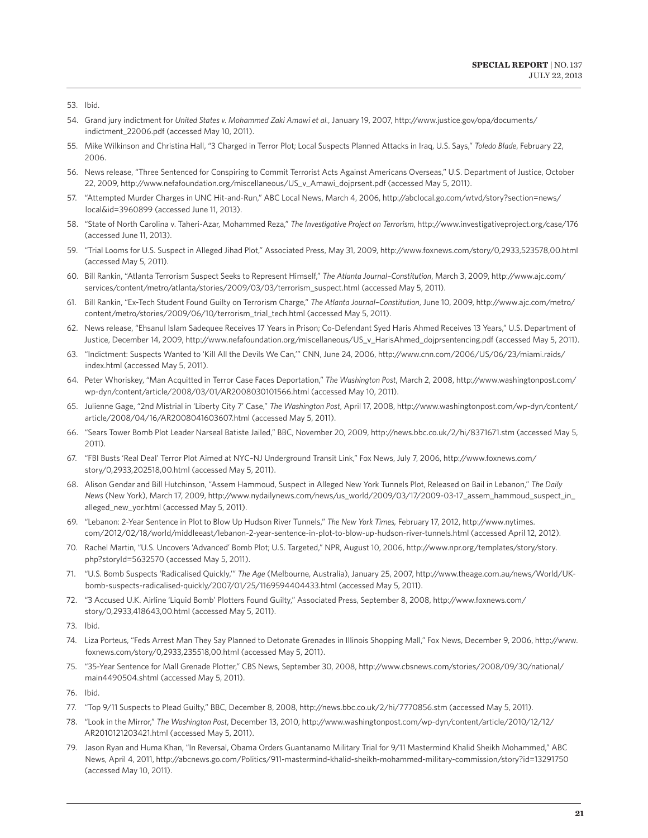- 54. Grand jury indictment for *United States v. Mohammed Zaki Amawi et al.*, January 19, 2007, http://www.justice.gov/opa/documents/ indictment 22006.pdf (accessed May 10, 2011).
- 55. Mike Wilkinson and Christina Hall, "3 Charged in Terror Plot; Local Suspects Planned Attacks in Iraq, U.S. Says," *Toledo Blade*, February 22, 2006.
- 56. News release, "Three Sentenced for Conspiring to Commit Terrorist Acts Against Americans Overseas," U.S. Department of Justice, October 22, 2009, http://www.nefafoundation.org/miscellaneous/US\_v\_Amawi\_dojprsent.pdf (accessed May 5, 2011).
- 57. "Attempted Murder Charges in UNC Hit-and-Run," ABC Local News, March 4, 2006, http://abclocal.go.com/wtvd/story?section=news/ local&id=3960899 (accessed June 11, 2013).
- 58. "State of North Carolina v. Taheri-Azar, Mohammed Reza," *The Investigative Project on Terrorism*, http://www.investigativeproject.org/case/176 (accessed June 11, 2013).
- 59. "Trial Looms for U.S. Suspect in Alleged Jihad Plot," Associated Press, May 31, 2009, http://www.foxnews.com/story/0,2933,523578,00.html (accessed May 5, 2011).
- 60. Bill Rankin, "Atlanta Terrorism Suspect Seeks to Represent Himself," *The Atlanta Journal–Constitution*, March 3, 2009, http://www.ajc.com/ services/content/metro/atlanta/stories/2009/03/03/terrorism\_suspect.html (accessed May 5, 2011).
- 61. Bill Rankin, "Ex-Tech Student Found Guilty on Terrorism Charge," *The Atlanta Journal–Constitution*, June 10, 2009, http://www.ajc.com/metro/ content/metro/stories/2009/06/10/terrorism\_trial\_tech.html (accessed May 5, 2011).
- 62. News release, "Ehsanul Islam Sadequee Receives 17 Years in Prison; Co-Defendant Syed Haris Ahmed Receives 13 Years," U.S. Department of Justice, December 14, 2009, http://www.nefafoundation.org/miscellaneous/US\_v\_HarisAhmed\_dojprsentencing.pdf (accessed May 5, 2011).
- 63. "Indictment: Suspects Wanted to 'Kill All the Devils We Can,'" CNN, June 24, 2006, http://www.cnn.com/2006/US/06/23/miami.raids/ index.html (accessed May 5, 2011).
- 64. Peter Whoriskey, "Man Acquitted in Terror Case Faces Deportation," *The Washington Post*, March 2, 2008, http://www.washingtonpost.com/ wp-dyn/content/article/2008/03/01/AR2008030101566.html (accessed May 10, 2011).
- 65. Julienne Gage, "2nd Mistrial in 'Liberty City 7' Case," *The Washington Post*, April 17, 2008, http://www.washingtonpost.com/wp-dyn/content/ article/2008/04/16/AR2008041603607.html (accessed May 5, 2011).
- 66. "Sears Tower Bomb Plot Leader Narseal Batiste Jailed," BBC, November 20, 2009, http://news.bbc.co.uk/2/hi/8371671.stm (accessed May 5, 2011).
- 67. "FBI Busts 'Real Deal' Terror Plot Aimed at NYC–NJ Underground Transit Link," Fox News, July 7, 2006, http://www.foxnews.com/ story/0,2933,202518,00.html (accessed May 5, 2011).
- 68. Alison Gendar and Bill Hutchinson, "Assem Hammoud, Suspect in Alleged New York Tunnels Plot, Released on Bail in Lebanon," *The Daily News* (New York), March 17, 2009, http://www.nydailynews.com/news/us\_world/2009/03/17/2009-03-17\_assem\_hammoud\_suspect\_in\_ alleged\_new\_yor.html (accessed May 5, 2011).
- 69. "Lebanon: 2-Year Sentence in Plot to Blow Up Hudson River Tunnels," *The New York Times,* February 17, 2012, http://www.nytimes. com/2012/02/18/world/middleeast/lebanon-2-year-sentence-in-plot-to-blow-up-hudson-river-tunnels.html (accessed April 12, 2012).
- 70. Rachel Martin, "U.S. Uncovers 'Advanced' Bomb Plot; U.S. Targeted," NPR, August 10, 2006, http://www.npr.org/templates/story/story. php?storyId=5632570 (accessed May 5, 2011).
- 71. "U.S. Bomb Suspects 'Radicalised Quickly,'" *The Age* (Melbourne, Australia), January 25, 2007, http://www.theage.com.au/news/World/UKbomb-suspects-radicalised-quickly/2007/01/25/1169594404433.html (accessed May 5, 2011).
- 72. "3 Accused U.K. Airline 'Liquid Bomb' Plotters Found Guilty," Associated Press, September 8, 2008, http://www.foxnews.com/ story/0,2933,418643,00.html (accessed May 5, 2011).
- 73. Ibid.
- 74. Liza Porteus, "Feds Arrest Man They Say Planned to Detonate Grenades in Illinois Shopping Mall," Fox News, December 9, 2006, http://www. foxnews.com/story/0,2933,235518,00.html (accessed May 5, 2011).
- 75. "35-Year Sentence for Mall Grenade Plotter," CBS News, September 30, 2008, http://www.cbsnews.com/stories/2008/09/30/national/ main4490504.shtml (accessed May 5, 2011).
- 76. Ibid.
- 77. "Top 9/11 Suspects to Plead Guilty," BBC, December 8, 2008, http://news.bbc.co.uk/2/hi/7770856.stm (accessed May 5, 2011).
- 78. "Look in the Mirror," *The Washington Post*, December 13, 2010, http://www.washingtonpost.com/wp-dyn/content/article/2010/12/12/ AR2010121203421.html (accessed May 5, 2011).
- 79. Jason Ryan and Huma Khan, "In Reversal, Obama Orders Guantanamo Military Trial for 9/11 Mastermind Khalid Sheikh Mohammed," ABC News, April 4, 2011, http://abcnews.go.com/Politics/911-mastermind-khalid-sheikh-mohammed-military-commission/story?id=13291750 (accessed May 10, 2011).

<sup>53.</sup> Ibid.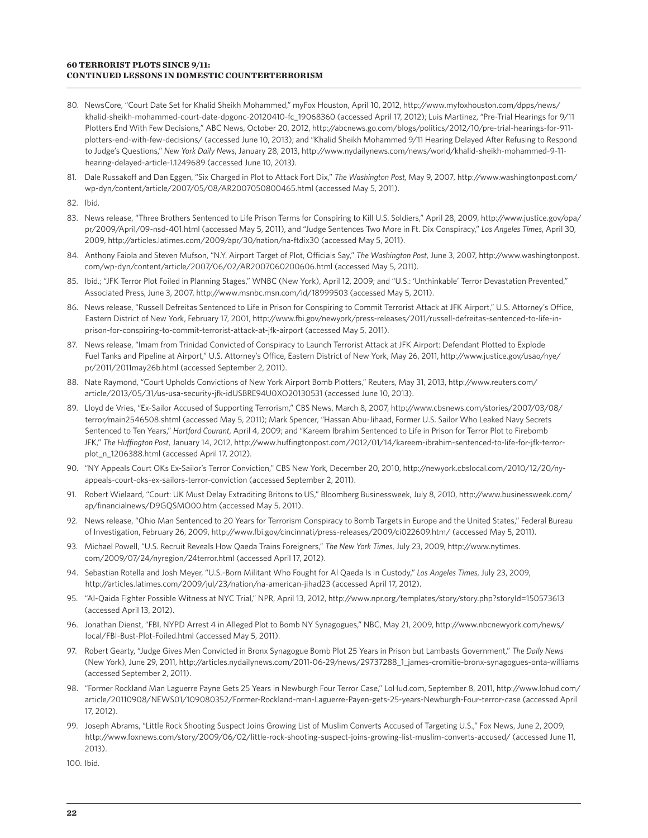#### **60 TERRORIST PLOTS SINCE 9/11: CONTINUED LESSONS IN DOMESTIC COUNTERTERRORISM**

- 80. NewsCore, "Court Date Set for Khalid Sheikh Mohammed," myFox Houston, April 10, 2012, http://www.myfoxhouston.com/dpps/news/ khalid-sheikh-mohammed-court-date-dpgonc-20120410-fc\_19068360 (accessed April 17, 2012); Luis Martinez, "Pre-Trial Hearings for 9/11 Plotters End With Few Decisions," ABC News, October 20, 2012, http://abcnews.go.com/blogs/politics/2012/10/pre-trial-hearings-for-911 plotters-end-with-few-decisions/ (accessed June 10, 2013); and "Khalid Sheikh Mohammed 9/11 Hearing Delayed After Refusing to Respond to Judge's Questions," *New York Daily News*, January 28, 2013, http://www.nydailynews.com/news/world/khalid-sheikh-mohammed-9-11 hearing-delayed-article-1.1249689 (accessed June 10, 2013).
- 81. Dale Russakoff and Dan Eggen, "Six Charged in Plot to Attack Fort Dix," *The Washington Post,* May 9, 2007*,* http://www.washingtonpost.com/ wp-dyn/content/article/2007/05/08/AR2007050800465.html (accessed May 5, 2011).
- 82. Ibid.
- 83. News release, "Three Brothers Sentenced to Life Prison Terms for Conspiring to Kill U.S. Soldiers," April 28, 2009, http://www.justice.gov/opa/ pr/2009/April/09-nsd-401.html (accessed May 5, 2011), and "Judge Sentences Two More in Ft. Dix Conspiracy," *Los Angeles Times*, April 30, 2009, http://articles.latimes.com/2009/apr/30/nation/na-ftdix30 (accessed May 5, 2011).
- 84. Anthony Faiola and Steven Mufson, "N.Y. Airport Target of Plot, Officials Say," *The Washington Post*, June 3, 2007, http://www.washingtonpost. com/wp-dyn/content/article/2007/06/02/AR2007060200606.html (accessed May 5, 2011).
- 85. Ibid.; "JFK Terror Plot Foiled in Planning Stages," WNBC (New York), April 12, 2009; and "U.S.: 'Unthinkable' Terror Devastation Prevented," Associated Press, June 3, 2007, http://www.msnbc.msn.com/id/18999503 (accessed May 5, 2011).
- 86. News release, "Russell Defreitas Sentenced to Life in Prison for Conspiring to Commit Terrorist Attack at JFK Airport," U.S. Attorney's Office, Eastern District of New York, February 17, 2001, http://www.fbi.gov/newyork/press-releases/2011/russell-defreitas-sentenced-to-life-inprison-for-conspiring-to-commit-terrorist-attack-at-jfk-airport (accessed May 5, 2011).
- 87. News release, "Imam from Trinidad Convicted of Conspiracy to Launch Terrorist Attack at JFK Airport: Defendant Plotted to Explode Fuel Tanks and Pipeline at Airport," U.S. Attorney's Office, Eastern District of New York, May 26, 2011, http://www.justice.gov/usao/nye/ pr/2011/2011may26b.html (accessed September 2, 2011).
- 88. Nate Raymond, "Court Upholds Convictions of New York Airport Bomb Plotters," Reuters, May 31, 2013, http://www.reuters.com/ article/2013/05/31/us-usa-security-jfk-idUSBRE94U0XO20130531 (accessed June 10, 2013).
- 89. Lloyd de Vries, "Ex-Sailor Accused of Supporting Terrorism," CBS News, March 8, 2007, http://www.cbsnews.com/stories/2007/03/08/ terror/main2546508.shtml (accessed May 5, 2011); Mark Spencer, "Hassan Abu-Jihaad, Former U.S. Sailor Who Leaked Navy Secrets Sentenced to Ten Years," *Hartford Courant*, April 4, 2009; and "Kareem Ibrahim Sentenced to Life in Prison for Terror Plot to Firebomb JFK," *The Huffington Post*, January 14, 2012, http://www.huffingtonpost.com/2012/01/14/kareem-ibrahim-sentenced-to-life-for-jfk-terrorplot\_n\_1206388.html (accessed April 17, 2012).
- 90. "NY Appeals Court OKs Ex-Sailor's Terror Conviction," CBS New York, December 20, 2010, http://newyork.cbslocal.com/2010/12/20/nyappeals-court-oks-ex-sailors-terror-conviction (accessed September 2, 2011).
- 91. Robert Wielaard, "Court: UK Must Delay Extraditing Britons to US," Bloomberg Businessweek, July 8, 2010, http://www.businessweek.com/ ap/financialnews/D9GQSMO00.htm (accessed May 5, 2011).
- 92. News release, "Ohio Man Sentenced to 20 Years for Terrorism Conspiracy to Bomb Targets in Europe and the United States," Federal Bureau of Investigation, February 26, 2009, http://www.fbi.gov/cincinnati/press-releases/2009/ci022609.htm/ (accessed May 5, 2011).
- 93. Michael Powell, "U.S. Recruit Reveals How Qaeda Trains Foreigners," *The New York Times*, July 23, 2009, http://www.nytimes. com/2009/07/24/nyregion/24terror.html (accessed April 17, 2012).
- 94. Sebastian Rotella and Josh Meyer, "U.S.-Born Militant Who Fought for Al Qaeda Is in Custody," *Los Angeles Times*, July 23, 2009, http://articles.latimes.com/2009/jul/23/nation/na-american-jihad23 (accessed April 17, 2012).
- 95. "Al-Qaida Fighter Possible Witness at NYC Trial," NPR, April 13, 2012, http://www.npr.org/templates/story/story.php?storyId=150573613 (accessed April 13, 2012).
- 96. Jonathan Dienst, "FBI, NYPD Arrest 4 in Alleged Plot to Bomb NY Synagogues," NBC, May 21, 2009, http://www.nbcnewyork.com/news/ local/FBI-Bust-Plot-Foiled.html (accessed May 5, 2011).
- 97. Robert Gearty, "Judge Gives Men Convicted in Bronx Synagogue Bomb Plot 25 Years in Prison but Lambasts Government," *The Daily News*  (New York), June 29, 2011, http://articles.nydailynews.com/2011-06-29/news/29737288\_1\_james-cromitie-bronx-synagogues-onta-williams (accessed September 2, 2011).
- 98. "Former Rockland Man Laguerre Payne Gets 25 Years in Newburgh Four Terror Case," LoHud.com, September 8, 2011, http://www.lohud.com/ article/20110908/NEWS01/109080352/Former-Rockland-man-Laguerre-Payen-gets-25-years-Newburgh-Four-terror-case (accessed April 17, 2012).
- 99. Joseph Abrams, "Little Rock Shooting Suspect Joins Growing List of Muslim Converts Accused of Targeting U.S.," Fox News, June 2, 2009, http://www.foxnews.com/story/2009/06/02/little-rock-shooting-suspect-joins-growing-list-muslim-converts-accused/ (accessed June 11, 2013).

100. Ibid.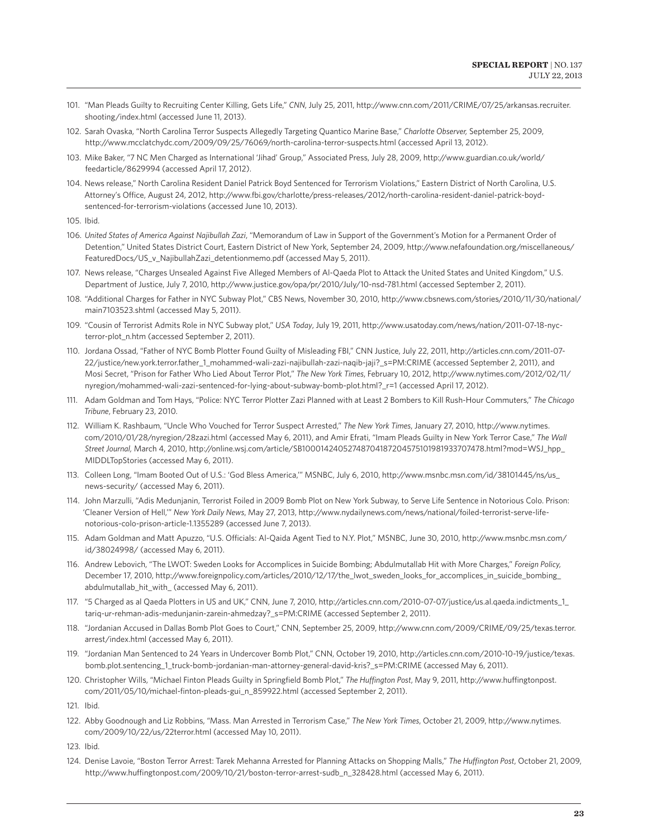- 101. "Man Pleads Guilty to Recruiting Center Killing, Gets Life," *CNN*, July 25, 2011, http://www.cnn.com/2011/CRIME/07/25/arkansas.recruiter. shooting/index.html (accessed June 11, 2013).
- 102. Sarah Ovaska, "North Carolina Terror Suspects Allegedly Targeting Quantico Marine Base," *Charlotte Observer,* September 25, 2009, http://www.mcclatchydc.com/2009/09/25/76069/north-carolina-terror-suspects.html (accessed April 13, 2012).
- 103. Mike Baker, "7 NC Men Charged as International 'Jihad' Group," Associated Press, July 28, 2009, http://www.guardian.co.uk/world/ feedarticle/8629994 (accessed April 17, 2012).
- 104. News release," North Carolina Resident Daniel Patrick Boyd Sentenced for Terrorism Violations," Eastern District of North Carolina, U.S. Attorney's Office, August 24, 2012, http://www.fbi.gov/charlotte/press-releases/2012/north-carolina-resident-daniel-patrick-boydsentenced-for-terrorism-violations (accessed June 10, 2013).
- 105. Ibid.
- 106. *United States of America Against Najibullah Zazi*, "Memorandum of Law in Support of the Government's Motion for a Permanent Order of Detention," United States District Court, Eastern District of New York, September 24, 2009, http://www.nefafoundation.org/miscellaneous/ FeaturedDocs/US\_v\_NajibullahZazi\_detentionmemo.pdf (accessed May 5, 2011).
- 107. News release, "Charges Unsealed Against Five Alleged Members of Al-Qaeda Plot to Attack the United States and United Kingdom," U.S. Department of Justice, July 7, 2010, http://www.justice.gov/opa/pr/2010/July/10-nsd-781.html (accessed September 2, 2011).
- 108. "Additional Charges for Father in NYC Subway Plot," CBS News, November 30, 2010, http://www.cbsnews.com/stories/2010/11/30/national/ main7103523.shtml (accessed May 5, 2011).
- 109. "Cousin of Terrorist Admits Role in NYC Subway plot," *USA Today*, July 19, 2011, http://www.usatoday.com/news/nation/2011-07-18-nycterror-plot\_n.htm (accessed September 2, 2011).
- 110. Jordana Ossad, "Father of NYC Bomb Plotter Found Guilty of Misleading FBI," CNN Justice, July 22, 2011, http://articles.cnn.com/2011-07- 22/justice/new.york.terror.father\_1\_mohammed-wali-zazi-najibullah-zazi-naqib-jaji?\_s=PM:CRIME (accessed September 2, 2011), and Mosi Secret, "Prison for Father Who Lied About Terror Plot," *The New York Times*, February 10, 2012, http://www.nytimes.com/2012/02/11/ nyregion/mohammed-wali-zazi-sentenced-for-lying-about-subway-bomb-plot.html?\_r=1 (accessed April 17, 2012).
- 111. Adam Goldman and Tom Hays, "Police: NYC Terror Plotter Zazi Planned with at Least 2 Bombers to Kill Rush-Hour Commuters," *The Chicago Tribune*, February 23, 2010.
- 112. William K. Rashbaum, "Uncle Who Vouched for Terror Suspect Arrested," *The New York Times*, January 27, 2010, http://www.nytimes. com/2010/01/28/nyregion/28zazi.html (accessed May 6, 2011), and Amir Efrati, "Imam Pleads Guilty in New York Terror Case," *The Wall Street Journal,* March 4, 2010, http://online.wsj.com/article/SB10001424052748704187204575101981933707478.html?mod=WSJ\_hpp\_ MIDDLTopStories (accessed May 6, 2011).
- 113. Colleen Long, "Imam Booted Out of U.S.: 'God Bless America,'" MSNBC, July 6, 2010, http://www.msnbc.msn.com/id/38101445/ns/us\_ news-security/ (accessed May 6, 2011).
- 114. John Marzulli, "Adis Medunjanin, Terrorist Foiled in 2009 Bomb Plot on New York Subway, to Serve Life Sentence in Notorious Colo. Prison: 'Cleaner Version of Hell,'" *New York Daily News*, May 27, 2013, http://www.nydailynews.com/news/national/foiled-terrorist-serve-lifenotorious-colo-prison-article-1.1355289 (accessed June 7, 2013).
- 115. Adam Goldman and Matt Apuzzo, "U.S. Officials: Al-Qaida Agent Tied to N.Y. Plot," MSNBC, June 30, 2010, http://www.msnbc.msn.com/ id/38024998/ (accessed May 6, 2011).
- 116. Andrew Lebovich, "The LWOT: Sweden Looks for Accomplices in Suicide Bombing; Abdulmutallab Hit with More Charges," *Foreign Policy,*  December 17, 2010, http://www.foreignpolicy.com/articles/2010/12/17/the\_lwot\_sweden\_looks\_for\_accomplices\_in\_suicide\_bombing\_ abdulmutallab\_hit\_with\_ (accessed May 6, 2011).
- 117. "5 Charged as al Qaeda Plotters in US and UK," CNN, June 7, 2010, http://articles.cnn.com/2010-07-07/justice/us.al.qaeda.indictments\_1\_ tariq-ur-rehman-adis-medunjanin-zarein-ahmedzay?\_s=PM:CRIME (accessed September 2, 2011).
- 118. "Jordanian Accused in Dallas Bomb Plot Goes to Court," CNN, September 25, 2009, http://www.cnn.com/2009/CRIME/09/25/texas.terror. arrest/index.html (accessed May 6, 2011).
- 119. "Jordanian Man Sentenced to 24 Years in Undercover Bomb Plot," CNN, October 19, 2010, http://articles.cnn.com/2010-10-19/justice/texas. bomb.plot.sentencing\_1\_truck-bomb-jordanian-man-attorney-general-david-kris?\_s=PM:CRIME (accessed May 6, 2011).
- 120. Christopher Wills, "Michael Finton Pleads Guilty in Springfield Bomb Plot," *The Huffington Post*, May 9, 2011, http://www.huffingtonpost. com/2011/05/10/michael-finton-pleads-gui\_n\_859922.html (accessed September 2, 2011).
- 121. Ibid.
- 122. Abby Goodnough and Liz Robbins, "Mass. Man Arrested in Terrorism Case," *The New York Times*, October 21, 2009, http://www.nytimes. com/2009/10/22/us/22terror.html (accessed May 10, 2011).
- 123. Ibid.
- 124. Denise Lavoie, "Boston Terror Arrest: Tarek Mehanna Arrested for Planning Attacks on Shopping Malls," *The Huffington Post*, October 21, 2009, http://www.huffingtonpost.com/2009/10/21/boston-terror-arrest-sudb\_n\_328428.html (accessed May 6, 2011).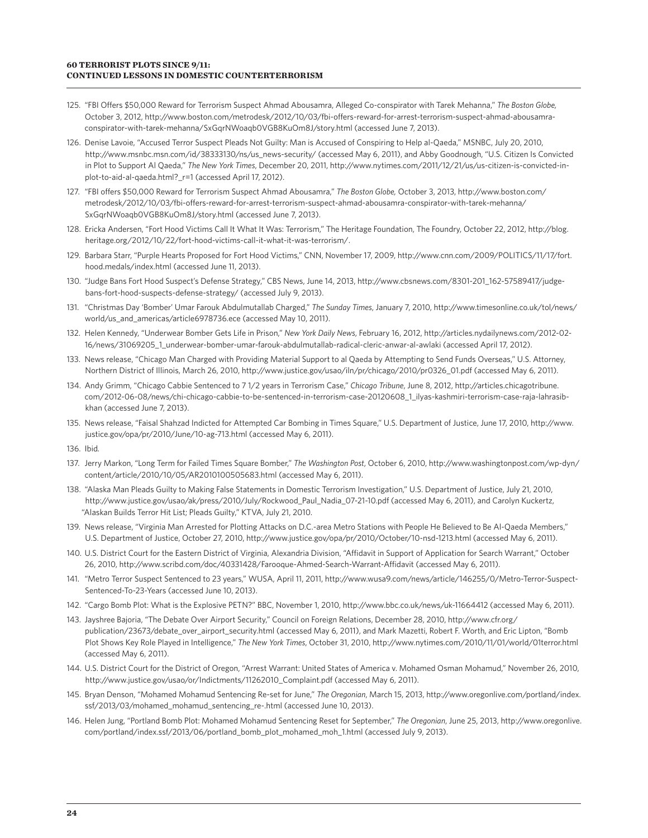#### **60 TERRORIST PLOTS SINCE 9/11: CONTINUED LESSONS IN DOMESTIC COUNTERTERRORISM**

- 125. "FBI Offers \$50,000 Reward for Terrorism Suspect Ahmad Abousamra, Alleged Co-conspirator with Tarek Mehanna," *The Boston Globe,*  October 3, 2012, http://www.boston.com/metrodesk/2012/10/03/fbi-offers-reward-for-arrest-terrorism-suspect-ahmad-abousamraconspirator-with-tarek-mehanna/SxGqrNWoaqb0VGB8KuOm8J/story.html (accessed June 7, 2013).
- 126. Denise Lavoie, "Accused Terror Suspect Pleads Not Guilty: Man is Accused of Conspiring to Help al-Qaeda," MSNBC, July 20, 2010, http://www.msnbc.msn.com/id/38333130/ns/us\_news-security/ (accessed May 6, 2011), and Abby Goodnough, "U.S. Citizen Is Convicted in Plot to Support Al Qaeda," *The New York Times*, December 20, 2011, http://www.nytimes.com/2011/12/21/us/us-citizen-is-convicted-inplot-to-aid-al-qaeda.html?\_r=1 (accessed April 17, 2012).
- 127. "FBI offers \$50,000 Reward for Terrorism Suspect Ahmad Abousamra," *The Boston Globe,* October 3, 2013, http://www.boston.com/ metrodesk/2012/10/03/fbi-offers-reward-for-arrest-terrorism-suspect-ahmad-abousamra-conspirator-with-tarek-mehanna/ SxGqrNWoaqb0VGB8KuOm8J/story.html (accessed June 7, 2013).
- 128. Ericka Andersen, "Fort Hood Victims Call It What It Was: Terrorism," The Heritage Foundation, The Foundry, October 22, 2012, http://blog. heritage.org/2012/10/22/fort-hood-victims-call-it-what-it-was-terrorism/.
- 129. Barbara Starr, "Purple Hearts Proposed for Fort Hood Victims," CNN, November 17, 2009, http://www.cnn.com/2009/POLITICS/11/17/fort. hood.medals/index.html (accessed June 11, 2013).
- 130. "Judge Bans Fort Hood Suspect's Defense Strategy," CBS News, June 14, 2013, http://www.cbsnews.com/8301-201\_162-57589417/judgebans-fort-hood-suspects-defense-strategy/ (accessed July 9, 2013).
- 131. "Christmas Day 'Bomber' Umar Farouk Abdulmutallab Charged," *The Sunday Times*, January 7, 2010, http://www.timesonline.co.uk/tol/news/ world/us and americas/article6978736.ece (accessed May 10, 2011).
- 132. Helen Kennedy, "Underwear Bomber Gets Life in Prison," *New York Daily News*, February 16, 2012, http://articles.nydailynews.com/2012-02- 16/news/31069205\_1\_underwear-bomber-umar-farouk-abdulmutallab-radical-cleric-anwar-al-awlaki (accessed April 17, 2012).
- 133. News release, "Chicago Man Charged with Providing Material Support to al Qaeda by Attempting to Send Funds Overseas," U.S. Attorney, Northern District of Illinois, March 26, 2010, http://www.justice.gov/usao/iln/pr/chicago/2010/pr0326\_01.pdf (accessed May 6, 2011).
- 134. Andy Grimm, "Chicago Cabbie Sentenced to 7 1/2 years in Terrorism Case," *Chicago Tribune*, June 8, 2012, http://articles.chicagotribune. com/2012-06-08/news/chi-chicago-cabbie-to-be-sentenced-in-terrorism-case-20120608\_1\_ilyas-kashmiri-terrorism-case-raja-lahrasibkhan (accessed June 7, 2013).
- 135. News release, "Faisal Shahzad Indicted for Attempted Car Bombing in Times Square," U.S. Department of Justice, June 17, 2010, http://www. justice.gov/opa/pr/2010/June/10-ag-713.html (accessed May 6, 2011).
- 136. Ibid*.*
- 137. Jerry Markon, "Long Term for Failed Times Square Bomber," *The Washington Post*, October 6, 2010, http://www.washingtonpost.com/wp-dyn/ content/article/2010/10/05/AR2010100505683.html (accessed May 6, 2011).
- 138. "Alaska Man Pleads Guilty to Making False Statements in Domestic Terrorism Investigation," U.S. Department of Justice, July 21, 2010, http://www.justice.gov/usao/ak/press/2010/July/Rockwood\_Paul\_Nadia\_07-21-10.pdf (accessed May 6, 2011), and Carolyn Kuckertz, "Alaskan Builds Terror Hit List; Pleads Guilty," KTVA, July 21, 2010.
- 139. News release, "Virginia Man Arrested for Plotting Attacks on D.C.-area Metro Stations with People He Believed to Be Al-Qaeda Members," U.S. Department of Justice, October 27, 2010, http://www.justice.gov/opa/pr/2010/October/10-nsd-1213.html (accessed May 6, 2011).
- 140. U.S. District Court for the Eastern District of Virginia, Alexandria Division, "Affidavit in Support of Application for Search Warrant," October 26, 2010, http://www.scribd.com/doc/40331428/Farooque-Ahmed-Search-Warrant-Affidavit (accessed May 6, 2011).
- 141. "Metro Terror Suspect Sentenced to 23 years," WUSA, April 11, 2011, http://www.wusa9.com/news/article/146255/0/Metro-Terror-Suspect-Sentenced-To-23-Years (accessed June 10, 2013).
- 142. "Cargo Bomb Plot: What is the Explosive PETN?" BBC, November 1, 2010, http://www.bbc.co.uk/news/uk-11664412 (accessed May 6, 2011).
- 143. Jayshree Bajoria, "The Debate Over Airport Security," Council on Foreign Relations, December 28, 2010, http://www.cfr.org/ publication/23673/debate\_over\_airport\_security.html (accessed May 6, 2011), and Mark Mazetti, Robert F. Worth, and Eric Lipton, "Bomb Plot Shows Key Role Played in Intelligence," *The New York Times*, October 31, 2010, http://www.nytimes.com/2010/11/01/world/01terror.html (accessed May 6, 2011).
- 144. U.S. District Court for the District of Oregon, "Arrest Warrant: United States of America v. Mohamed Osman Mohamud," November 26, 2010, http://www.justice.gov/usao/or/Indictments/11262010\_Complaint.pdf (accessed May 6, 2011).
- 145. Bryan Denson, "Mohamed Mohamud Sentencing Re-set for June," *The Oregonian*, March 15, 2013, http://www.oregonlive.com/portland/index. ssf/2013/03/mohamed\_mohamud\_sentencing\_re-.html (accessed June 10, 2013).
- 146. Helen Jung, "Portland Bomb Plot: Mohamed Mohamud Sentencing Reset for September," *The Oregonian*, June 25, 2013, http://www.oregonlive. com/portland/index.ssf/2013/06/portland\_bomb\_plot\_mohamed\_moh\_1.html (accessed July 9, 2013).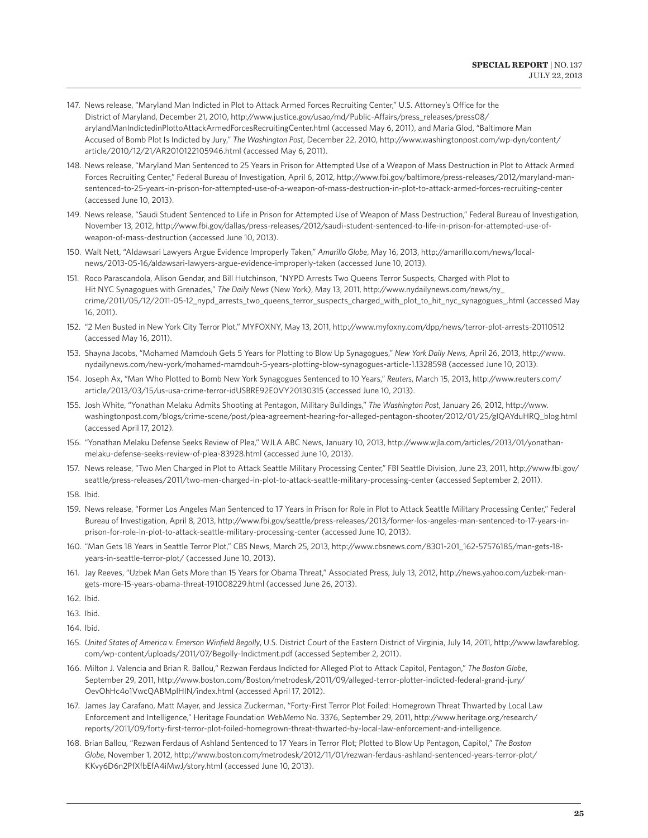- 147. News release, "Maryland Man Indicted in Plot to Attack Armed Forces Recruiting Center," U.S. Attorney's Office for the District of Maryland, December 21, 2010, http://www.justice.gov/usao/md/Public-Affairs/press\_releases/press08/ arylandManIndictedinPlottoAttackArmedForcesRecruitingCenter.html (accessed May 6, 2011), and Maria Glod, "Baltimore Man Accused of Bomb Plot Is Indicted by Jury," *The Washington Post*, December 22, 2010, http://www.washingtonpost.com/wp-dyn/content/ article/2010/12/21/AR2010122105946.html (accessed May 6, 2011).
- 148. News release, "Maryland Man Sentenced to 25 Years in Prison for Attempted Use of a Weapon of Mass Destruction in Plot to Attack Armed Forces Recruiting Center," Federal Bureau of Investigation, April 6, 2012, http://www.fbi.gov/baltimore/press-releases/2012/maryland-mansentenced-to-25-years-in-prison-for-attempted-use-of-a-weapon-of-mass-destruction-in-plot-to-attack-armed-forces-recruiting-center (accessed June 10, 2013).
- 149. News release, "Saudi Student Sentenced to Life in Prison for Attempted Use of Weapon of Mass Destruction," Federal Bureau of Investigation, November 13, 2012, http://www.fbi.gov/dallas/press-releases/2012/saudi-student-sentenced-to-life-in-prison-for-attempted-use-ofweapon-of-mass-destruction (accessed June 10, 2013).
- 150. Walt Nett, "Aldawsari Lawyers Argue Evidence Improperly Taken," *Amarillo Globe*, May 16, 2013, http://amarillo.com/news/localnews/2013-05-16/aldawsari-lawyers-argue-evidence-improperly-taken (accessed June 10, 2013).
- 151. Roco Parascandola, Alison Gendar, and Bill Hutchinson, "NYPD Arrests Two Queens Terror Suspects, Charged with Plot to Hit NYC Synagogues with Grenades," *The Daily News* (New York), May 13, 2011, http://www.nydailynews.com/news/ny\_ crime/2011/05/12/2011-05-12\_nypd\_arrests\_two\_queens\_terror\_suspects\_charged\_with\_plot\_to\_hit\_nyc\_synagogues\_.html (accessed May 16, 2011).
- 152. "2 Men Busted in New York City Terror Plot," MYFOXNY, May 13, 2011, http://www.myfoxny.com/dpp/news/terror-plot-arrests-20110512 (accessed May 16, 2011).
- 153. Shayna Jacobs, "Mohamed Mamdouh Gets 5 Years for Plotting to Blow Up Synagogues," *New York Daily News*, April 26, 2013, http://www. nydailynews.com/new-york/mohamed-mamdouh-5-years-plotting-blow-synagogues-article-1.1328598 (accessed June 10, 2013).
- 154. Joseph Ax, "Man Who Plotted to Bomb New York Synagogues Sentenced to 10 Years," *Reuters*, March 15, 2013, http://www.reuters.com/ article/2013/03/15/us-usa-crime-terror-idUSBRE92E0VY20130315 (accessed June 10, 2013).
- 155. Josh White, "Yonathan Melaku Admits Shooting at Pentagon, Military Buildings," *The Washington Post*, January 26, 2012, http://www. washingtonpost.com/blogs/crime-scene/post/plea-agreement-hearing-for-alleged-pentagon-shooter/2012/01/25/gIQAYduHRQ\_blog.html (accessed April 17, 2012).
- 156. "Yonathan Melaku Defense Seeks Review of Plea," WJLA ABC News, January 10, 2013, http://www.wjla.com/articles/2013/01/yonathanmelaku-defense-seeks-review-of-plea-83928.html (accessed June 10, 2013).
- 157. News release, "Two Men Charged in Plot to Attack Seattle Military Processing Center," FBI Seattle Division, June 23, 2011, http://www.fbi.gov/ seattle/press-releases/2011/two-men-charged-in-plot-to-attack-seattle-military-processing-center (accessed September 2, 2011).
- 158. Ibid*.*
- 159. News release, "Former Los Angeles Man Sentenced to 17 Years in Prison for Role in Plot to Attack Seattle Military Processing Center," Federal Bureau of Investigation, April 8, 2013, http://www.fbi.gov/seattle/press-releases/2013/former-los-angeles-man-sentenced-to-17-years-inprison-for-role-in-plot-to-attack-seattle-military-processing-center (accessed June 10, 2013).
- 160. "Man Gets 18 Years in Seattle Terror Plot," CBS News, March 25, 2013, http://www.cbsnews.com/8301-201\_162-57576185/man-gets-18 years-in-seattle-terror-plot/ (accessed June 10, 2013).
- 161. Jay Reeves, "Uzbek Man Gets More than 15 Years for Obama Threat," Associated Press, July 13, 2012, http://news.yahoo.com/uzbek-mangets-more-15-years-obama-threat-191008229.html (accessed June 26, 2013).

162. Ibid.

- 163. Ibid.
- 164. Ibid.
- 165. *United States of America v. Emerson Winfield Begolly*, U.S. District Court of the Eastern District of Virginia, July 14, 2011, http://www.lawfareblog. com/wp-content/uploads/2011/07/Begolly-Indictment.pdf (accessed September 2, 2011).
- 166. Milton J. Valencia and Brian R. Ballou," Rezwan Ferdaus Indicted for Alleged Plot to Attack Capitol, Pentagon," *The Boston Globe*, September 29, 2011, http://www.boston.com/Boston/metrodesk/2011/09/alleged-terror-plotter-indicted-federal-grand-jury/ OevOhHc4o1VwcQABMplHIN/index.html (accessed April 17, 2012).
- 167. James Jay Carafano, Matt Mayer, and Jessica Zuckerman, "Forty-First Terror Plot Foiled: Homegrown Threat Thwarted by Local Law Enforcement and Intelligence," Heritage Foundation *WebMemo* No. 3376, September 29, 2011, http://www.heritage.org/research/ reports/2011/09/forty-first-terror-plot-foiled-homegrown-threat-thwarted-by-local-law-enforcement-and-intelligence.
- 168. Brian Ballou, "Rezwan Ferdaus of Ashland Sentenced to 17 Years in Terror Plot; Plotted to Blow Up Pentagon, Capitol," *The Boston Globe*, November 1, 2012, http://www.boston.com/metrodesk/2012/11/01/rezwan-ferdaus-ashland-sentenced-years-terror-plot/ KKvy6D6n2PfXfbEfA4iMwJ/story.html (accessed June 10, 2013).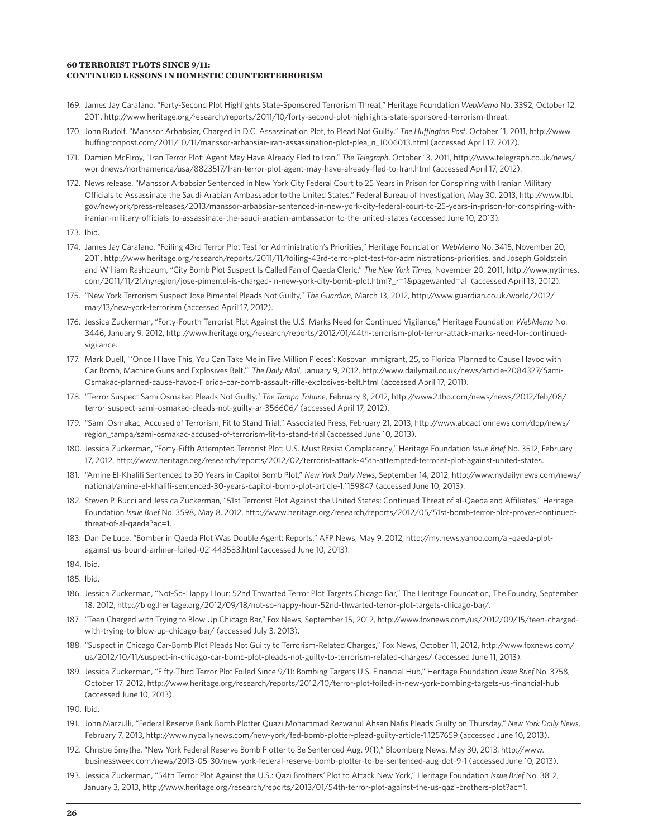- 169. James Jay Carafano, "Forty-Second Plot Highlights State-Sponsored Terrorism Threat," Heritage Foundation *WebMemo* No. 3392, October 12, 2011, http://www.heritage.org/research/reports/2011/10/forty-second-plot-highlights-state-sponsored-terrorism-threat.
- 170. John Rudolf, "Manssor Arbabsiar, Charged in D.C. Assassination Plot, to Plead Not Guilty," *The Huffington Post*, October 11, 2011, http://www. huffingtonpost.com/2011/10/11/manssor-arbabsiar-iran-assassination-plot-plea\_n\_1006013.html (accessed April 17, 2012).
- 171. Damien McElroy, "Iran Terror Plot: Agent May Have Already Fled to Iran," *The Telegraph*, October 13, 2011, http://www.telegraph.co.uk/news/ worldnews/northamerica/usa/8823517/Iran-terror-plot-agent-may-have-already-fled-to-Iran.html (accessed April 17, 2012).
- 172. News release, "Manssor Arbabsiar Sentenced in New York City Federal Court to 25 Years in Prison for Conspiring with Iranian Military Officials to Assassinate the Saudi Arabian Ambassador to the United States," Federal Bureau of Investigation, May 30, 2013, http://www.fbi. gov/newyork/press-releases/2013/manssor-arbabsiar-sentenced-in-new-york-city-federal-court-to-25-years-in-prison-for-conspiring-withiranian-military-officials-to-assassinate-the-saudi-arabian-ambassador-to-the-united-states (accessed June 10, 2013).
- 173. Ibid.
- 174. James Jay Carafano, "Foiling 43rd Terror Plot Test for Administration's Priorities," Heritage Foundation *WebMemo* No. 3415, November 20, 2011, http://www.heritage.org/research/reports/2011/11/foiling-43rd-terror-plot-test-for-administrations-priorities, and Joseph Goldstein and William Rashbaum, "City Bomb Plot Suspect Is Called Fan of Qaeda Cleric," *The New York Times*, November 20, 2011, http://www.nytimes. com/2011/11/21/nyregion/jose-pimentel-is-charged-in-new-york-city-bomb-plot.html?\_r=1&pagewanted=all (accessed April 13, 2012).
- 175. "New York Terrorism Suspect Jose Pimentel Pleads Not Guilty," *The Guardian*, March 13, 2012, http://www.guardian.co.uk/world/2012/ mar/13/new-york-terrorism (accessed April 17, 2012).
- 176. Jessica Zuckerman, "Forty-Fourth Terrorist Plot Against the U.S. Marks Need for Continued Vigilance," Heritage Foundation *WebMemo* No. 3446, January 9, 2012, http://www.heritage.org/research/reports/2012/01/44th-terrorism-plot-terror-attack-marks-need-for-continuedvigilance.
- 177. Mark Duell, "'Once I Have This, You Can Take Me in Five Million Pieces': Kosovan Immigrant, 25, to Florida 'Planned to Cause Havoc with Car Bomb, Machine Guns and Explosives Belt,'" *The Daily Mail*, January 9, 2012, http://www.dailymail.co.uk/news/article-2084327/Sami-Osmakac-planned-cause-havoc-Florida-car-bomb-assault-rifle-explosives-belt.html (accessed April 17, 2011).
- 178. "Terror Suspect Sami Osmakac Pleads Not Guilty," *The Tampa Tribune*, February 8, 2012, http://www2.tbo.com/news/news/2012/feb/08/ terror-suspect-sami-osmakac-pleads-not-guilty-ar-356606/ (accessed April 17, 2012).
- 179. "Sami Osmakac, Accused of Terrorism, Fit to Stand Trial," Associated Press, February 21, 2013, http://www.abcactionnews.com/dpp/news/ region\_tampa/sami-osmakac-accused-of-terrorism-fit-to-stand-trial (accessed June 10, 2013).
- 180. Jessica Zuckerman, "Forty-Fifth Attempted Terrorist Plot: U.S. Must Resist Complacency," Heritage Foundation *Issue Brief* No. 3512, February 17, 2012, http://www.heritage.org/research/reports/2012/02/terrorist-attack-45th-attempted-terrorist-plot-against-united-states.
- 181. "Amine El-Khalifi Sentenced to 30 Years in Capitol Bomb Plot," *New York Daily News*, September 14, 2012, http://www.nydailynews.com/news/ national/amine-el-khalifi-sentenced-30-years-capitol-bomb-plot-article-1.1159847 (accessed June 10, 2013).
- 182. Steven P. Bucci and Jessica Zuckerman, "51st Terrorist Plot Against the United States: Continued Threat of al-Qaeda and Affiliates," Heritage Foundation *Issue Brief* No. 3598, May 8, 2012, http://www.heritage.org/research/reports/2012/05/51st-bomb-terror-plot-proves-continuedthreat-of-al-qaeda?ac=1.
- 183. Dan De Luce, "Bomber in Qaeda Plot Was Double Agent: Reports," AFP News, May 9, 2012, http://my.news.yahoo.com/al-qaeda-plotagainst-us-bound-airliner-foiled-021443583.html (accessed June 10, 2013).
- 184. Ibid.
- 185. Ibid.
- 186. Jessica Zuckerman, "Not-So-Happy Hour: 52nd Thwarted Terror Plot Targets Chicago Bar," The Heritage Foundation, The Foundry, September 18, 2012, http://blog.heritage.org/2012/09/18/not-so-happy-hour-52nd-thwarted-terror-plot-targets-chicago-bar/.
- 187. "Teen Charged with Trying to Blow Up Chicago Bar," Fox News, September 15, 2012, http://www.foxnews.com/us/2012/09/15/teen-chargedwith-trying-to-blow-up-chicago-bar/ (accessed July 3, 2013).
- 188. "Suspect in Chicago Car-Bomb Plot Pleads Not Guilty to Terrorism-Related Charges," Fox News, October 11, 2012, http://www.foxnews.com/ us/2012/10/11/suspect-in-chicago-car-bomb-plot-pleads-not-guilty-to-terrorism-related-charges/ (accessed June 11, 2013).
- 189. Jessica Zuckerman, "Fifty-Third Terror Plot Foiled Since 9/11: Bombing Targets U.S. Financial Hub," Heritage Foundation *Issue Brief* No. 3758, October 17, 2012, http://www.heritage.org/research/reports/2012/10/terror-plot-foiled-in-new-york-bombing-targets-us-financial-hub (accessed June 10, 2013).
- 190. Ibid.
- 191. John Marzulli, "Federal Reserve Bank Bomb Plotter Quazi Mohammad Rezwanul Ahsan Nafis Pleads Guilty on Thursday," *New York Daily News*, February 7, 2013, http://www.nydailynews.com/new-york/fed-bomb-plotter-plead-guilty-article-1.1257659 (accessed June 10, 2013).
- 192. Christie Smythe, "New York Federal Reserve Bomb Plotter to Be Sentenced Aug. 9(1)," Bloomberg News, May 30, 2013, http://www. businessweek.com/news/2013-05-30/new-york-federal-reserve-bomb-plotter-to-be-sentenced-aug-dot-9-1 (accessed June 10, 2013).
- 193. Jessica Zuckerman, "54th Terror Plot Against the U.S.: Qazi Brothers' Plot to Attack New York," Heritage Foundation *Issue Brief* No. 3812, January 3, 2013, http://www.heritage.org/research/reports/2013/01/54th-terror-plot-against-the-us-qazi-brothers-plot?ac=1.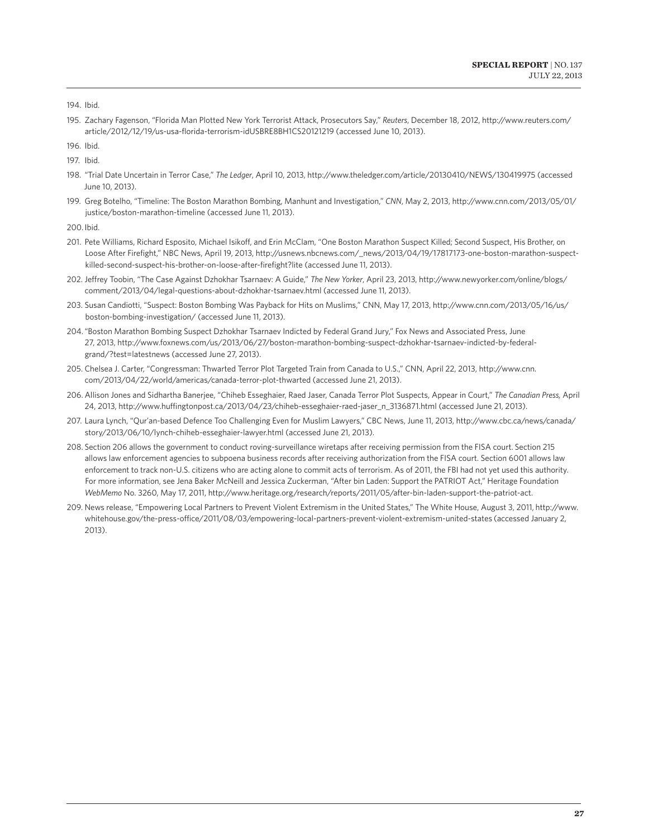195. Zachary Fagenson, "Florida Man Plotted New York Terrorist Attack, Prosecutors Say," *Reuters*, December 18, 2012, http://www.reuters.com/ article/2012/12/19/us-usa-florida-terrorism-idUSBRE8BH1CS20121219 (accessed June 10, 2013).

196. Ibid.

197. Ibid.

- 198. "Trial Date Uncertain in Terror Case," *The Ledger*, April 10, 2013, http://www.theledger.com/article/20130410/NEWS/130419975 (accessed June 10, 2013).
- 199. Greg Botelho, "Timeline: The Boston Marathon Bombing, Manhunt and Investigation," *CNN*, May 2, 2013, http://www.cnn.com/2013/05/01/ justice/boston-marathon-timeline (accessed June 11, 2013).

200. Ibid.

- 201. Pete Williams, Richard Esposito, Michael Isikoff, and Erin McClam, "One Boston Marathon Suspect Killed; Second Suspect, His Brother, on Loose After Firefight," NBC News, April 19, 2013, http://usnews.nbcnews.com/\_news/2013/04/19/17817173-one-boston-marathon-suspectkilled-second-suspect-his-brother-on-loose-after-firefight?lite (accessed June 11, 2013).
- 202. Jeffrey Toobin, "The Case Against Dzhokhar Tsarnaev: A Guide," *The New Yorker*, April 23, 2013, http://www.newyorker.com/online/blogs/ comment/2013/04/legal-questions-about-dzhokhar-tsarnaev.html (accessed June 11, 2013).
- 203. Susan Candiotti, "Suspect: Boston Bombing Was Payback for Hits on Muslims," CNN, May 17, 2013, http://www.cnn.com/2013/05/16/us/ boston-bombing-investigation/ (accessed June 11, 2013).
- 204."Boston Marathon Bombing Suspect Dzhokhar Tsarnaev Indicted by Federal Grand Jury," Fox News and Associated Press, June 27, 2013, http://www.foxnews.com/us/2013/06/27/boston-marathon-bombing-suspect-dzhokhar-tsarnaev-indicted-by-federalgrand/?test=latestnews (accessed June 27, 2013).
- 205. Chelsea J. Carter, "Congressman: Thwarted Terror Plot Targeted Train from Canada to U.S.," CNN, April 22, 2013, http://www.cnn. com/2013/04/22/world/americas/canada-terror-plot-thwarted (accessed June 21, 2013).
- 206. Allison Jones and Sidhartha Banerjee, "Chiheb Esseghaier, Raed Jaser, Canada Terror Plot Suspects, Appear in Court," *The Canadian Press,* April 24, 2013, http://www.huffingtonpost.ca/2013/04/23/chiheb-esseghaier-raed-jaser\_n\_3136871.html (accessed June 21, 2013).
- 207. Laura Lynch, "Qur'an-based Defence Too Challenging Even for Muslim Lawyers," CBC News, June 11, 2013, http://www.cbc.ca/news/canada/ story/2013/06/10/lynch-chiheb-esseghaier-lawyer.html (accessed June 21, 2013).
- 208. Section 206 allows the government to conduct roving-surveillance wiretaps after receiving permission from the FISA court. Section 215 allows law enforcement agencies to subpoena business records after receiving authorization from the FISA court. Section 6001 allows law enforcement to track non-U.S. citizens who are acting alone to commit acts of terrorism. As of 2011, the FBI had not yet used this authority. For more information, see Jena Baker McNeill and Jessica Zuckerman, "After bin Laden: Support the PATRIOT Act," Heritage Foundation *WebMemo* No. 3260, May 17, 2011, http://www.heritage.org/research/reports/2011/05/after-bin-laden-support-the-patriot-act.
- 209. News release, "Empowering Local Partners to Prevent Violent Extremism in the United States," The White House, August 3, 2011, http://www. whitehouse.gov/the-press-office/2011/08/03/empowering-local-partners-prevent-violent-extremism-united-states (accessed January 2, 2013).

<sup>194.</sup> Ibid.